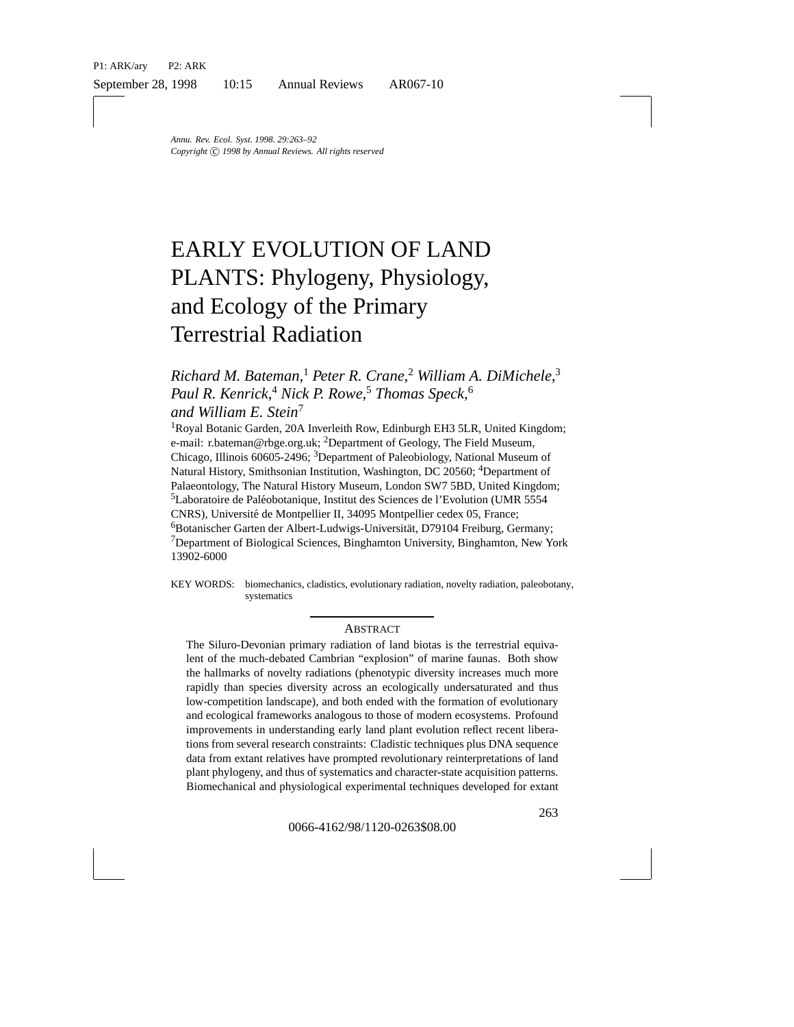# EARLY EVOLUTION OF LAND PLANTS: Phylogeny, Physiology, and Ecology of the Primary Terrestrial Radiation

# *Richard M. Bateman,*<sup>1</sup> *Peter R. Crane,*<sup>2</sup> *William A. DiMichele,*<sup>3</sup> *Paul R. Kenrick,*<sup>4</sup> *Nick P. Rowe,*<sup>5</sup> *Thomas Speck,*<sup>6</sup> *and William E. Stein*<sup>7</sup>

<sup>1</sup>Royal Botanic Garden, 20A Inverleith Row, Edinburgh EH3 5LR, United Kingdom; e-mail: r.bateman@rbge.org.uk; <sup>2</sup>Department of Geology, The Field Museum, Chicago, Illinois 60605-2496; 3Department of Paleobiology, National Museum of Natural History, Smithsonian Institution, Washington, DC 20560; <sup>4</sup>Department of Palaeontology, The Natural History Museum, London SW7 5BD, United Kingdom; <sup>5</sup>Laboratoire de Paléobotanique, Institut des Sciences de l'Evolution (UMR 5554 CNRS), Université de Montpellier II, 34095 Montpellier cedex 05, France; <sup>6</sup>Botanischer Garten der Albert-Ludwigs-Universität, D79104 Freiburg, Germany; 7Department of Biological Sciences, Binghamton University, Binghamton, New York 13902-6000

KEY WORDS: biomechanics, cladistics, evolutionary radiation, novelty radiation, paleobotany, systematics

#### **ABSTRACT**

The Siluro-Devonian primary radiation of land biotas is the terrestrial equivalent of the much-debated Cambrian "explosion" of marine faunas. Both show the hallmarks of novelty radiations (phenotypic diversity increases much more rapidly than species diversity across an ecologically undersaturated and thus low-competition landscape), and both ended with the formation of evolutionary and ecological frameworks analogous to those of modern ecosystems. Profound improvements in understanding early land plant evolution reflect recent liberations from several research constraints: Cladistic techniques plus DNA sequence data from extant relatives have prompted revolutionary reinterpretations of land plant phylogeny, and thus of systematics and character-state acquisition patterns. Biomechanical and physiological experimental techniques developed for extant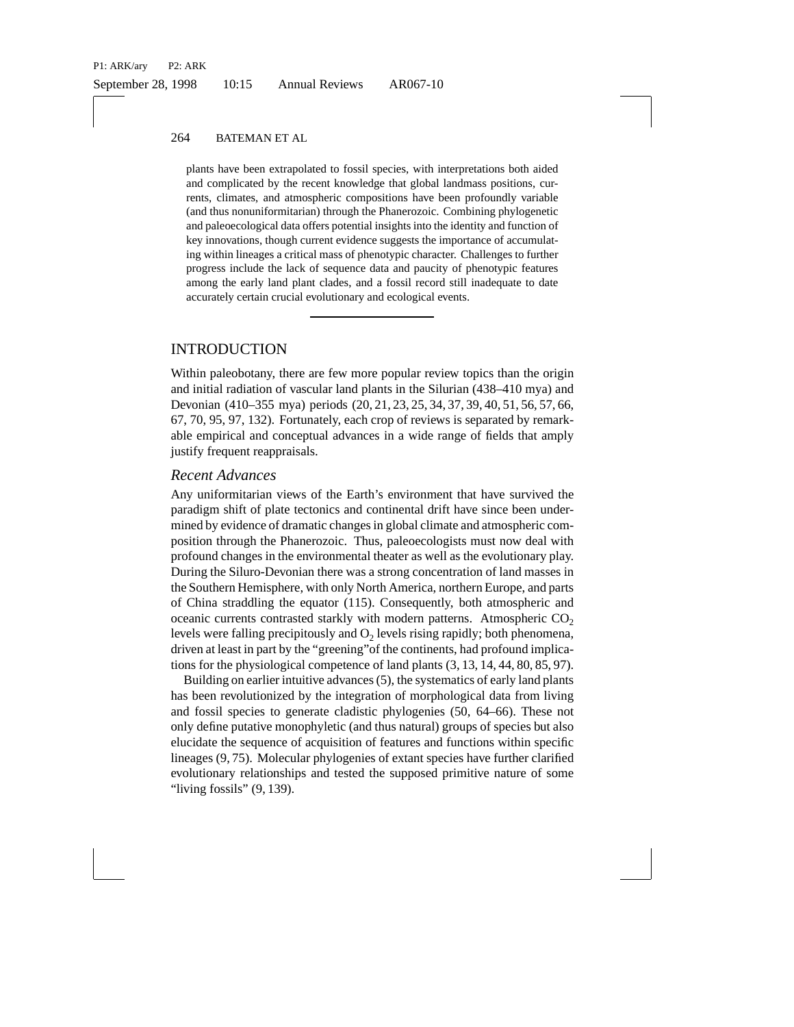plants have been extrapolated to fossil species, with interpretations both aided and complicated by the recent knowledge that global landmass positions, currents, climates, and atmospheric compositions have been profoundly variable (and thus nonuniformitarian) through the Phanerozoic. Combining phylogenetic and paleoecological data offers potential insights into the identity and function of key innovations, though current evidence suggests the importance of accumulating within lineages a critical mass of phenotypic character. Challenges to further progress include the lack of sequence data and paucity of phenotypic features among the early land plant clades, and a fossil record still inadequate to date accurately certain crucial evolutionary and ecological events.

# INTRODUCTION

Within paleobotany, there are few more popular review topics than the origin and initial radiation of vascular land plants in the Silurian (438–410 mya) and Devonian (410–355 mya) periods (20, 21, 23, 25, 34, 37, 39, 40, 51, 56, 57, 66, 67, 70, 95, 97, 132). Fortunately, each crop of reviews is separated by remarkable empirical and conceptual advances in a wide range of fields that amply justify frequent reappraisals.

## *Recent Advances*

Any uniformitarian views of the Earth's environment that have survived the paradigm shift of plate tectonics and continental drift have since been undermined by evidence of dramatic changes in global climate and atmospheric composition through the Phanerozoic. Thus, paleoecologists must now deal with profound changes in the environmental theater as well as the evolutionary play. During the Siluro-Devonian there was a strong concentration of land masses in the Southern Hemisphere, with only North America, northern Europe, and parts of China straddling the equator (115). Consequently, both atmospheric and oceanic currents contrasted starkly with modern patterns. Atmospheric  $CO<sub>2</sub>$ levels were falling precipitously and  $O<sub>2</sub>$  levels rising rapidly; both phenomena, driven at least in part by the "greening"of the continents, had profound implications for the physiological competence of land plants (3, 13, 14, 44, 80, 85, 97).

Building on earlier intuitive advances (5), the systematics of early land plants has been revolutionized by the integration of morphological data from living and fossil species to generate cladistic phylogenies (50, 64–66). These not only define putative monophyletic (and thus natural) groups of species but also elucidate the sequence of acquisition of features and functions within specific lineages (9, 75). Molecular phylogenies of extant species have further clarified evolutionary relationships and tested the supposed primitive nature of some "living fossils" (9, 139).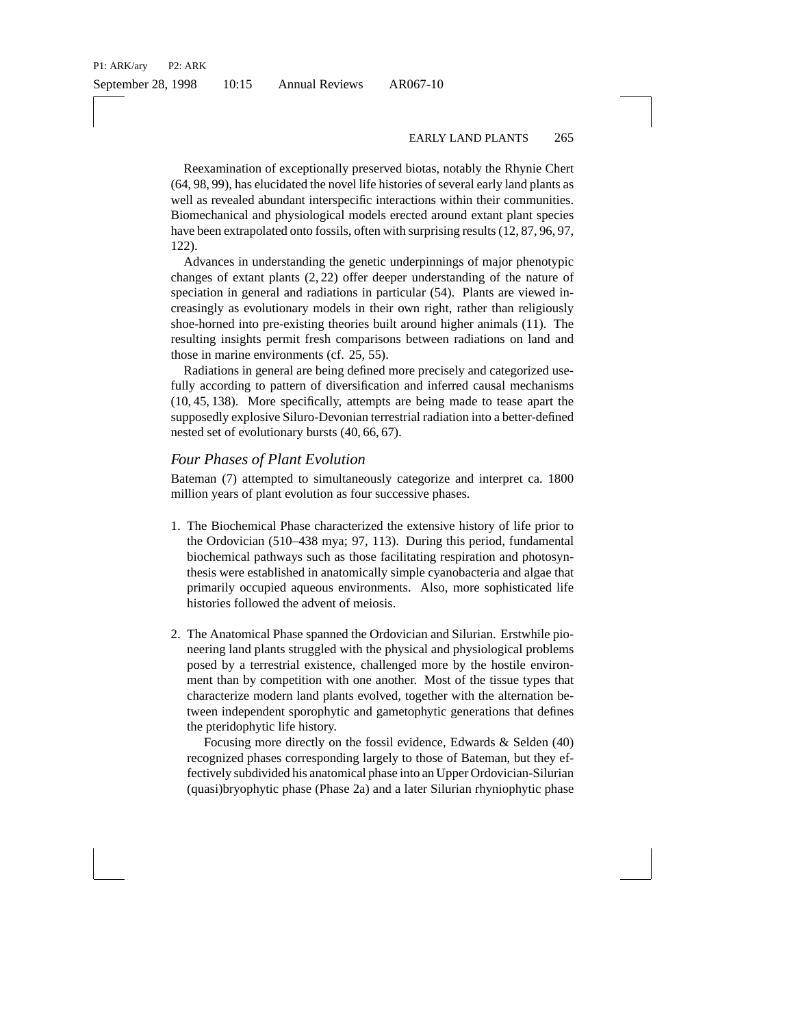Reexamination of exceptionally preserved biotas, notably the Rhynie Chert (64, 98, 99), has elucidated the novel life histories of several early land plants as well as revealed abundant interspecific interactions within their communities. Biomechanical and physiological models erected around extant plant species have been extrapolated onto fossils, often with surprising results (12, 87, 96, 97, 122).

Advances in understanding the genetic underpinnings of major phenotypic changes of extant plants (2, 22) offer deeper understanding of the nature of speciation in general and radiations in particular (54). Plants are viewed increasingly as evolutionary models in their own right, rather than religiously shoe-horned into pre-existing theories built around higher animals (11). The resulting insights permit fresh comparisons between radiations on land and those in marine environments (cf. 25, 55).

Radiations in general are being defined more precisely and categorized usefully according to pattern of diversification and inferred causal mechanisms (10, 45, 138). More specifically, attempts are being made to tease apart the supposedly explosive Siluro-Devonian terrestrial radiation into a better-defined nested set of evolutionary bursts (40, 66, 67).

# *Four Phases of Plant Evolution*

Bateman (7) attempted to simultaneously categorize and interpret ca. 1800 million years of plant evolution as four successive phases.

- 1. The Biochemical Phase characterized the extensive history of life prior to the Ordovician (510–438 mya; 97, 113). During this period, fundamental biochemical pathways such as those facilitating respiration and photosynthesis were established in anatomically simple cyanobacteria and algae that primarily occupied aqueous environments. Also, more sophisticated life histories followed the advent of meiosis.
- 2. The Anatomical Phase spanned the Ordovician and Silurian. Erstwhile pioneering land plants struggled with the physical and physiological problems posed by a terrestrial existence, challenged more by the hostile environment than by competition with one another. Most of the tissue types that characterize modern land plants evolved, together with the alternation between independent sporophytic and gametophytic generations that defines the pteridophytic life history.

Focusing more directly on the fossil evidence, Edwards & Selden (40) recognized phases corresponding largely to those of Bateman, but they effectively subdivided his anatomical phase into an Upper Ordovician-Silurian (quasi)bryophytic phase (Phase 2a) and a later Silurian rhyniophytic phase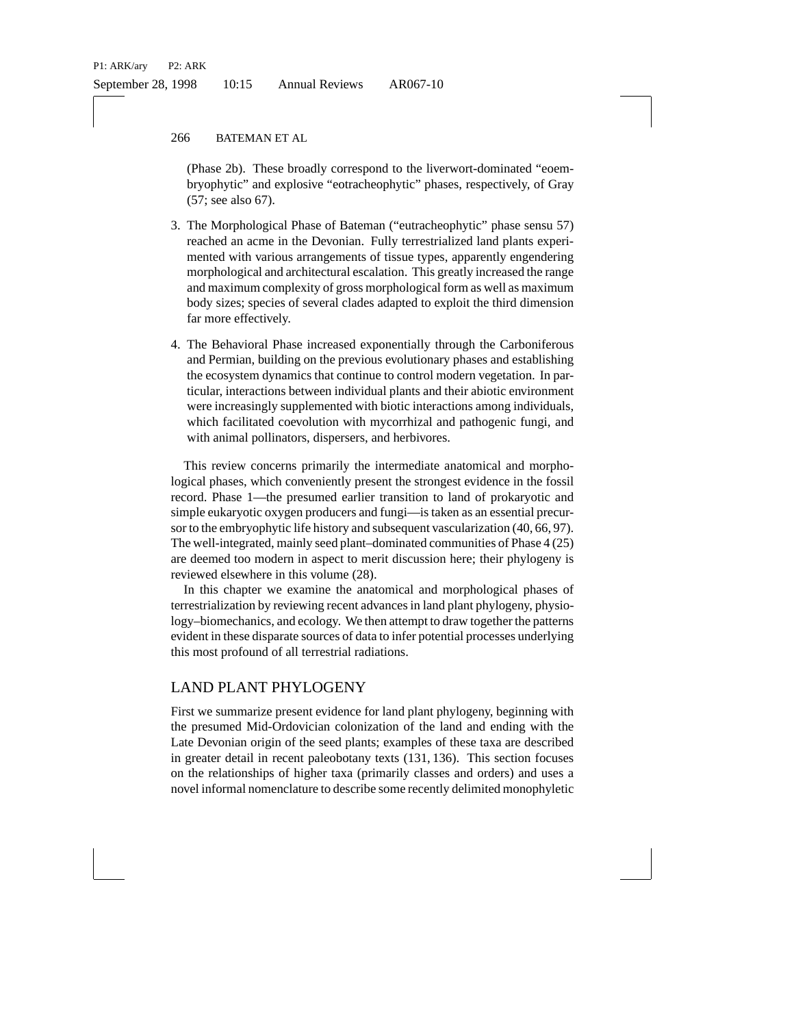(Phase 2b). These broadly correspond to the liverwort-dominated "eoembryophytic" and explosive "eotracheophytic" phases, respectively, of Gray (57; see also 67).

- 3. The Morphological Phase of Bateman ("eutracheophytic" phase sensu 57) reached an acme in the Devonian. Fully terrestrialized land plants experimented with various arrangements of tissue types, apparently engendering morphological and architectural escalation. This greatly increased the range and maximum complexity of gross morphological form as well as maximum body sizes; species of several clades adapted to exploit the third dimension far more effectively.
- 4. The Behavioral Phase increased exponentially through the Carboniferous and Permian, building on the previous evolutionary phases and establishing the ecosystem dynamics that continue to control modern vegetation. In particular, interactions between individual plants and their abiotic environment were increasingly supplemented with biotic interactions among individuals, which facilitated coevolution with mycorrhizal and pathogenic fungi, and with animal pollinators, dispersers, and herbivores.

This review concerns primarily the intermediate anatomical and morphological phases, which conveniently present the strongest evidence in the fossil record. Phase 1—the presumed earlier transition to land of prokaryotic and simple eukaryotic oxygen producers and fungi—is taken as an essential precursor to the embryophytic life history and subsequent vascularization (40, 66, 97). The well-integrated, mainly seed plant–dominated communities of Phase 4 (25) are deemed too modern in aspect to merit discussion here; their phylogeny is reviewed elsewhere in this volume (28).

In this chapter we examine the anatomical and morphological phases of terrestrialization by reviewing recent advances in land plant phylogeny, physiology–biomechanics, and ecology. We then attempt to draw together the patterns evident in these disparate sources of data to infer potential processes underlying this most profound of all terrestrial radiations.

# LAND PLANT PHYLOGENY

First we summarize present evidence for land plant phylogeny, beginning with the presumed Mid-Ordovician colonization of the land and ending with the Late Devonian origin of the seed plants; examples of these taxa are described in greater detail in recent paleobotany texts (131, 136). This section focuses on the relationships of higher taxa (primarily classes and orders) and uses a novel informal nomenclature to describe some recently delimited monophyletic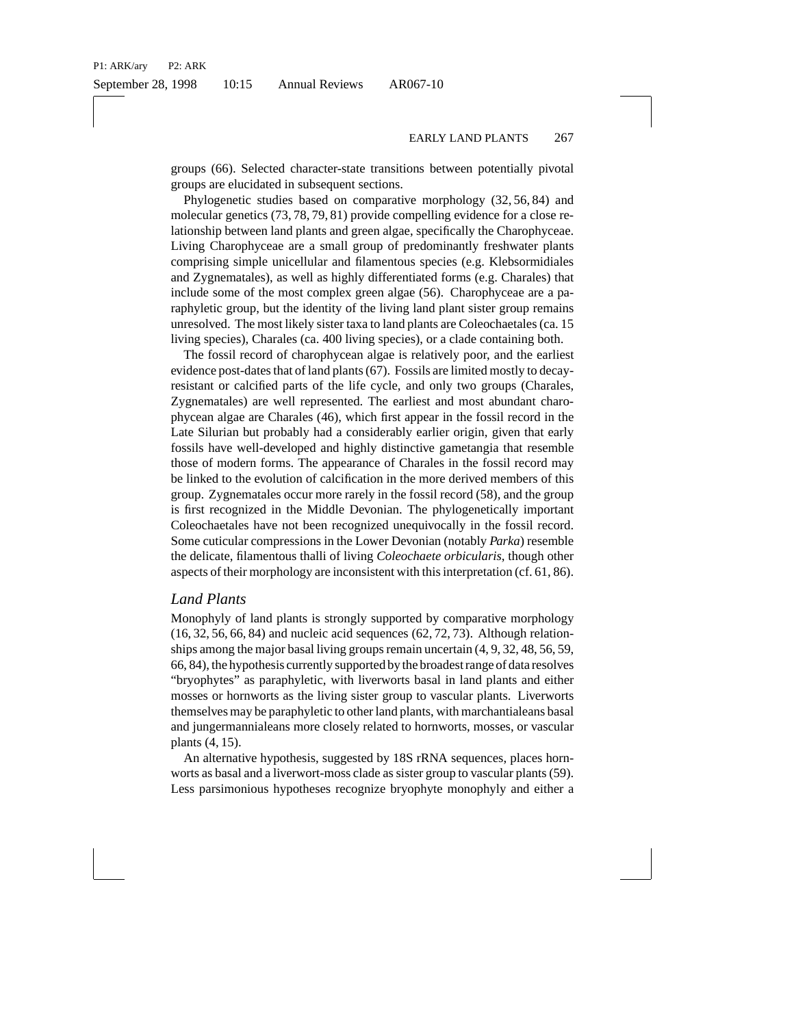groups (66). Selected character-state transitions between potentially pivotal groups are elucidated in subsequent sections.

Phylogenetic studies based on comparative morphology (32, 56, 84) and molecular genetics (73, 78, 79, 81) provide compelling evidence for a close relationship between land plants and green algae, specifically the Charophyceae. Living Charophyceae are a small group of predominantly freshwater plants comprising simple unicellular and filamentous species (e.g. Klebsormidiales and Zygnematales), as well as highly differentiated forms (e.g. Charales) that include some of the most complex green algae (56). Charophyceae are a paraphyletic group, but the identity of the living land plant sister group remains unresolved. The most likely sister taxa to land plants are Coleochaetales (ca. 15 living species), Charales (ca. 400 living species), or a clade containing both.

The fossil record of charophycean algae is relatively poor, and the earliest evidence post-dates that of land plants (67). Fossils are limited mostly to decayresistant or calcified parts of the life cycle, and only two groups (Charales, Zygnematales) are well represented. The earliest and most abundant charophycean algae are Charales (46), which first appear in the fossil record in the Late Silurian but probably had a considerably earlier origin, given that early fossils have well-developed and highly distinctive gametangia that resemble those of modern forms. The appearance of Charales in the fossil record may be linked to the evolution of calcification in the more derived members of this group. Zygnematales occur more rarely in the fossil record (58), and the group is first recognized in the Middle Devonian. The phylogenetically important Coleochaetales have not been recognized unequivocally in the fossil record. Some cuticular compressions in the Lower Devonian (notably *Parka*) resemble the delicate, filamentous thalli of living *Coleochaete orbicularis*, though other aspects of their morphology are inconsistent with this interpretation (cf. 61, 86).

#### *Land Plants*

Monophyly of land plants is strongly supported by comparative morphology  $(16, 32, 56, 66, 84)$  and nucleic acid sequences  $(62, 72, 73)$ . Although relationships among the major basal living groups remain uncertain (4, 9, 32, 48, 56, 59, 66, 84), the hypothesis currently supported by the broadest range of data resolves "bryophytes" as paraphyletic, with liverworts basal in land plants and either mosses or hornworts as the living sister group to vascular plants. Liverworts themselves may be paraphyletic to other land plants, with marchantialeans basal and jungermannialeans more closely related to hornworts, mosses, or vascular plants (4, 15).

An alternative hypothesis, suggested by 18S rRNA sequences, places hornworts as basal and a liverwort-moss clade as sister group to vascular plants (59). Less parsimonious hypotheses recognize bryophyte monophyly and either a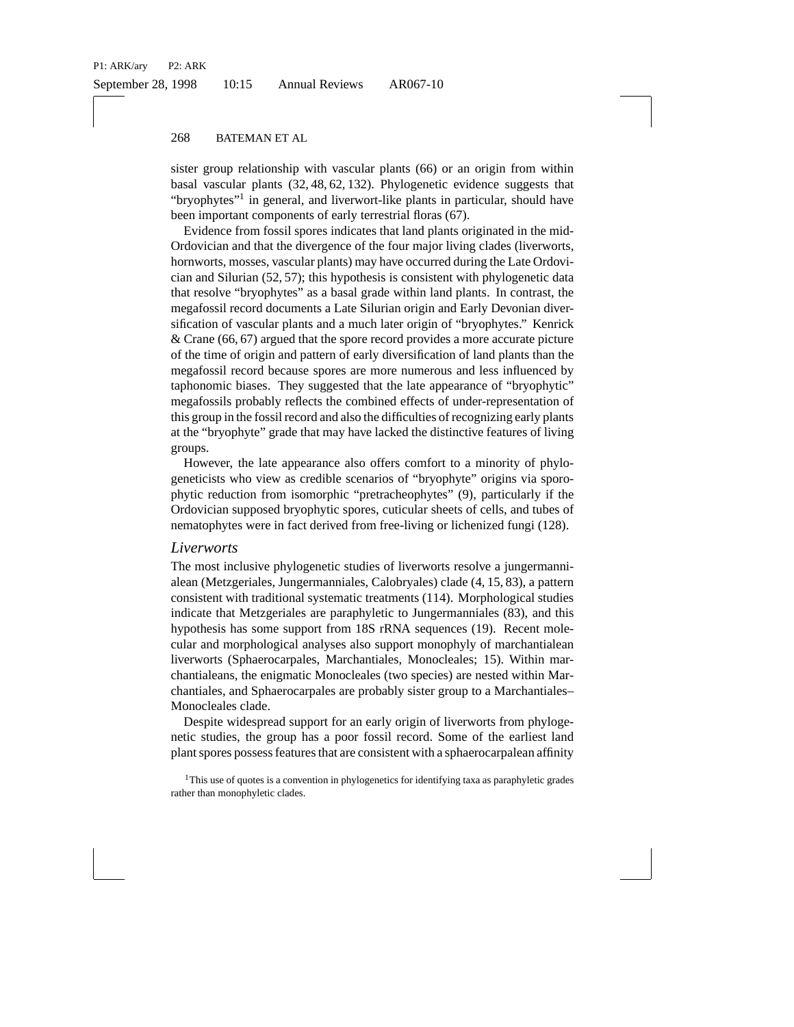sister group relationship with vascular plants (66) or an origin from within basal vascular plants (32, 48, 62, 132). Phylogenetic evidence suggests that "bryophytes"<sup>1</sup> in general, and liverwort-like plants in particular, should have been important components of early terrestrial floras (67).

Evidence from fossil spores indicates that land plants originated in the mid-Ordovician and that the divergence of the four major living clades (liverworts, hornworts, mosses, vascular plants) may have occurred during the Late Ordovician and Silurian (52, 57); this hypothesis is consistent with phylogenetic data that resolve "bryophytes" as a basal grade within land plants. In contrast, the megafossil record documents a Late Silurian origin and Early Devonian diversification of vascular plants and a much later origin of "bryophytes." Kenrick & Crane (66, 67) argued that the spore record provides a more accurate picture of the time of origin and pattern of early diversification of land plants than the megafossil record because spores are more numerous and less influenced by taphonomic biases. They suggested that the late appearance of "bryophytic" megafossils probably reflects the combined effects of under-representation of this group in the fossil record and also the difficulties of recognizing early plants at the "bryophyte" grade that may have lacked the distinctive features of living groups.

However, the late appearance also offers comfort to a minority of phylogeneticists who view as credible scenarios of "bryophyte" origins via sporophytic reduction from isomorphic "pretracheophytes" (9), particularly if the Ordovician supposed bryophytic spores, cuticular sheets of cells, and tubes of nematophytes were in fact derived from free-living or lichenized fungi (128).

#### *Liverworts*

The most inclusive phylogenetic studies of liverworts resolve a jungermannialean (Metzgeriales, Jungermanniales, Calobryales) clade (4, 15, 83), a pattern consistent with traditional systematic treatments (114). Morphological studies indicate that Metzgeriales are paraphyletic to Jungermanniales (83), and this hypothesis has some support from 18S rRNA sequences (19). Recent molecular and morphological analyses also support monophyly of marchantialean liverworts (Sphaerocarpales, Marchantiales, Monocleales; 15). Within marchantialeans, the enigmatic Monocleales (two species) are nested within Marchantiales, and Sphaerocarpales are probably sister group to a Marchantiales– Monocleales clade.

Despite widespread support for an early origin of liverworts from phylogenetic studies, the group has a poor fossil record. Some of the earliest land plant spores possess features that are consistent with a sphaerocarpalean affinity

<sup>&</sup>lt;sup>1</sup>This use of quotes is a convention in phylogenetics for identifying taxa as paraphyletic grades rather than monophyletic clades.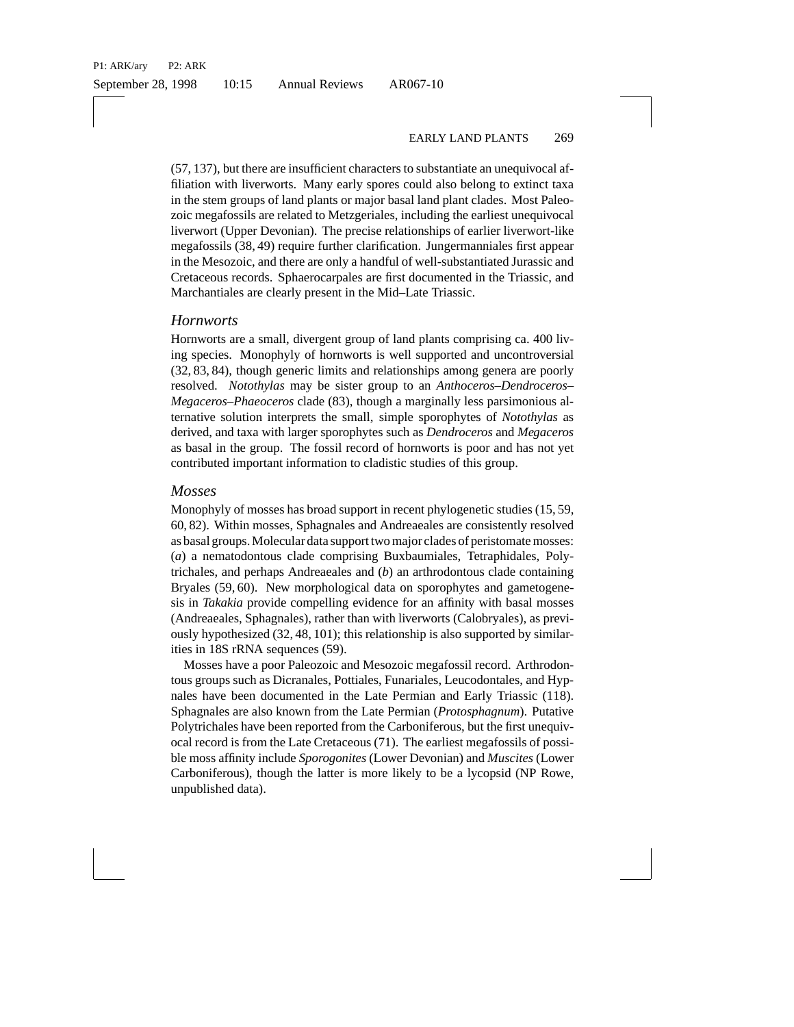(57, 137), but there are insufficient characters to substantiate an unequivocal affiliation with liverworts. Many early spores could also belong to extinct taxa in the stem groups of land plants or major basal land plant clades. Most Paleozoic megafossils are related to Metzgeriales, including the earliest unequivocal liverwort (Upper Devonian). The precise relationships of earlier liverwort-like megafossils (38, 49) require further clarification. Jungermanniales first appear in the Mesozoic, and there are only a handful of well-substantiated Jurassic and Cretaceous records. Sphaerocarpales are first documented in the Triassic, and Marchantiales are clearly present in the Mid–Late Triassic.

#### *Hornworts*

Hornworts are a small, divergent group of land plants comprising ca. 400 living species. Monophyly of hornworts is well supported and uncontroversial (32, 83, 84), though generic limits and relationships among genera are poorly resolved. *Notothylas* may be sister group to an *Anthoceros–Dendroceros– Megaceros–Phaeoceros* clade (83), though a marginally less parsimonious alternative solution interprets the small, simple sporophytes of *Notothylas* as derived, and taxa with larger sporophytes such as *Dendroceros* and *Megaceros* as basal in the group. The fossil record of hornworts is poor and has not yet contributed important information to cladistic studies of this group.

#### *Mosses*

Monophyly of mosses has broad support in recent phylogenetic studies (15, 59, 60, 82). Within mosses, Sphagnales and Andreaeales are consistently resolved as basal groups. Molecular data support two major clades of peristomate mosses: (*a*) a nematodontous clade comprising Buxbaumiales, Tetraphidales, Polytrichales, and perhaps Andreaeales and (*b*) an arthrodontous clade containing Bryales (59, 60). New morphological data on sporophytes and gametogenesis in *Takakia* provide compelling evidence for an affinity with basal mosses (Andreaeales, Sphagnales), rather than with liverworts (Calobryales), as previously hypothesized (32, 48, 101); this relationship is also supported by similarities in 18S rRNA sequences (59).

Mosses have a poor Paleozoic and Mesozoic megafossil record. Arthrodontous groups such as Dicranales, Pottiales, Funariales, Leucodontales, and Hypnales have been documented in the Late Permian and Early Triassic (118). Sphagnales are also known from the Late Permian (*Protosphagnum*). Putative Polytrichales have been reported from the Carboniferous, but the first unequivocal record is from the Late Cretaceous (71). The earliest megafossils of possible moss affinity include *Sporogonites* (Lower Devonian) and *Muscites* (Lower Carboniferous), though the latter is more likely to be a lycopsid (NP Rowe, unpublished data).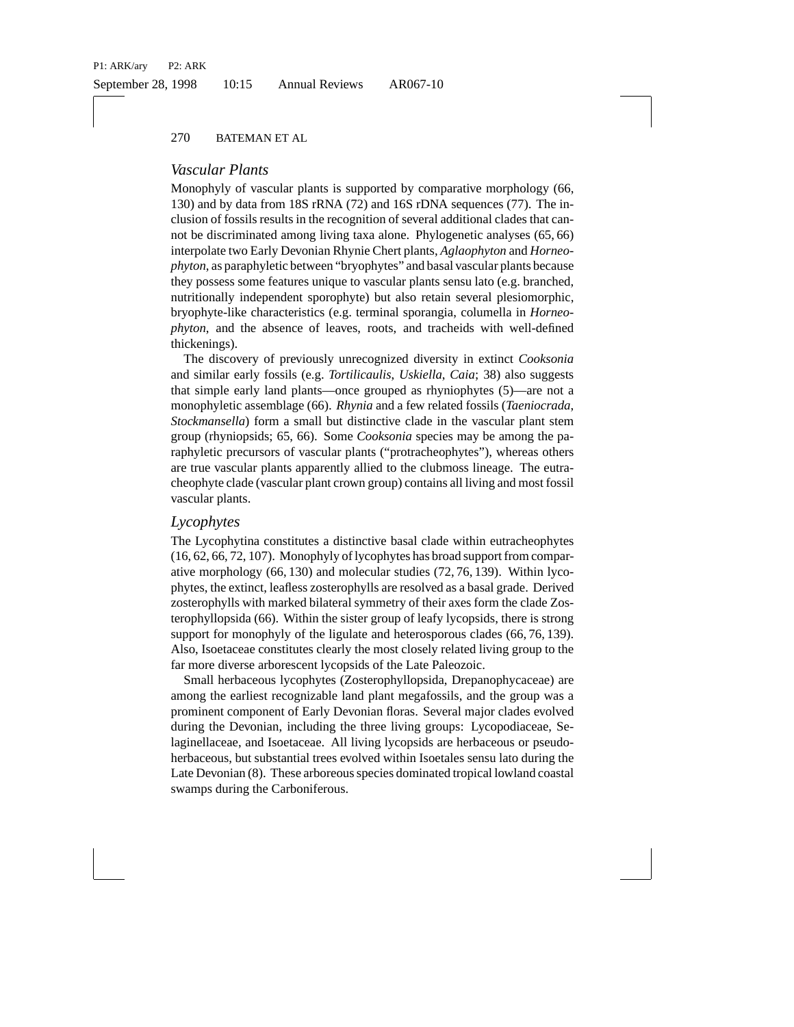## *Vascular Plants*

Monophyly of vascular plants is supported by comparative morphology (66, 130) and by data from 18S rRNA (72) and 16S rDNA sequences (77). The inclusion of fossils results in the recognition of several additional clades that cannot be discriminated among living taxa alone. Phylogenetic analyses (65, 66) interpolate two Early Devonian Rhynie Chert plants, *Aglaophyton* and *Horneophyton*, as paraphyletic between "bryophytes" and basal vascular plants because they possess some features unique to vascular plants sensu lato (e.g. branched, nutritionally independent sporophyte) but also retain several plesiomorphic, bryophyte-like characteristics (e.g. terminal sporangia, columella in *Horneophyton*, and the absence of leaves, roots, and tracheids with well-defined thickenings).

The discovery of previously unrecognized diversity in extinct *Cooksonia* and similar early fossils (e.g. *Tortilicaulis*, *Uskiella*, *Caia*; 38) also suggests that simple early land plants—once grouped as rhyniophytes (5)—are not a monophyletic assemblage (66). *Rhynia* and a few related fossils (*Taeniocrada*, *Stockmansella*) form a small but distinctive clade in the vascular plant stem group (rhyniopsids; 65, 66). Some *Cooksonia* species may be among the paraphyletic precursors of vascular plants ("protracheophytes"), whereas others are true vascular plants apparently allied to the clubmoss lineage. The eutracheophyte clade (vascular plant crown group) contains all living and most fossil vascular plants.

# *Lycophytes*

The Lycophytina constitutes a distinctive basal clade within eutracheophytes (16, 62, 66, 72, 107). Monophyly of lycophytes has broad support from comparative morphology (66, 130) and molecular studies (72, 76, 139). Within lycophytes, the extinct, leafless zosterophylls are resolved as a basal grade. Derived zosterophylls with marked bilateral symmetry of their axes form the clade Zosterophyllopsida (66). Within the sister group of leafy lycopsids, there is strong support for monophyly of the ligulate and heterosporous clades (66, 76, 139). Also, Isoetaceae constitutes clearly the most closely related living group to the far more diverse arborescent lycopsids of the Late Paleozoic.

Small herbaceous lycophytes (Zosterophyllopsida, Drepanophycaceae) are among the earliest recognizable land plant megafossils, and the group was a prominent component of Early Devonian floras. Several major clades evolved during the Devonian, including the three living groups: Lycopodiaceae, Selaginellaceae, and Isoetaceae. All living lycopsids are herbaceous or pseudoherbaceous, but substantial trees evolved within Isoetales sensu lato during the Late Devonian (8). These arboreous species dominated tropical lowland coastal swamps during the Carboniferous.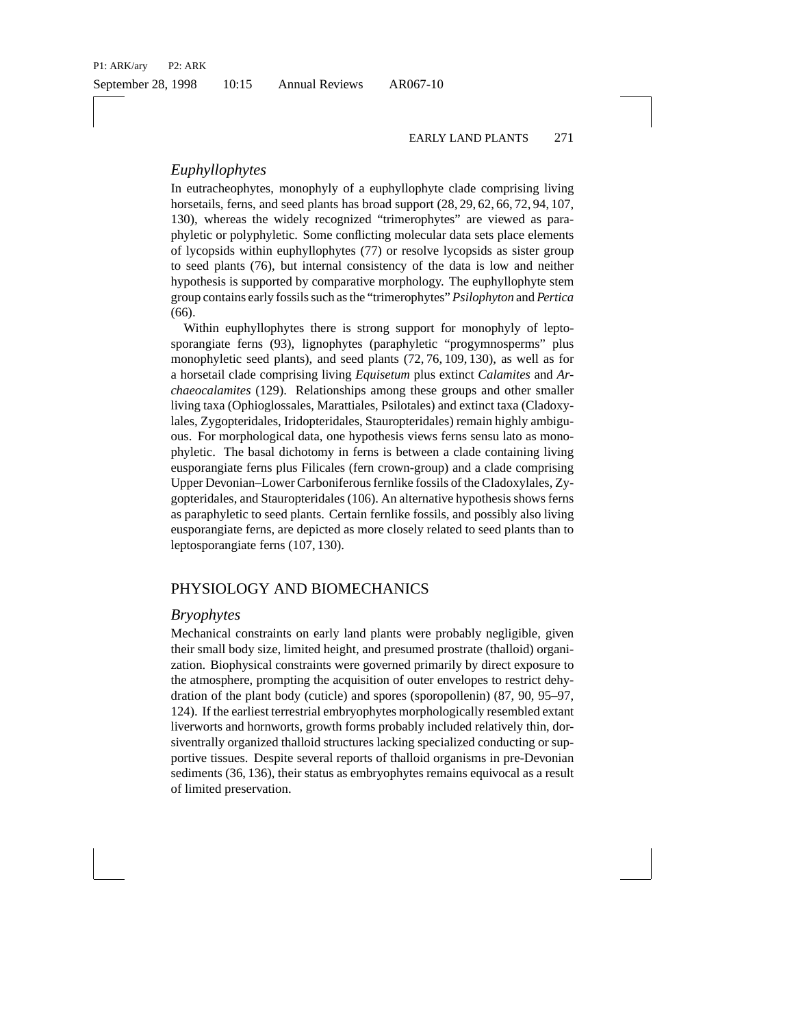# *Euphyllophytes*

In eutracheophytes, monophyly of a euphyllophyte clade comprising living horsetails, ferns, and seed plants has broad support  $(28, 29, 62, 66, 72, 94, 107,$ 130), whereas the widely recognized "trimerophytes" are viewed as paraphyletic or polyphyletic. Some conflicting molecular data sets place elements of lycopsids within euphyllophytes (77) or resolve lycopsids as sister group to seed plants (76), but internal consistency of the data is low and neither hypothesis is supported by comparative morphology. The euphyllophyte stem group contains early fossils such as the "trimerophytes"*Psilophyton* and *Pertica* (66).

Within euphyllophytes there is strong support for monophyly of leptosporangiate ferns (93), lignophytes (paraphyletic "progymnosperms" plus monophyletic seed plants), and seed plants (72, 76, 109, 130), as well as for a horsetail clade comprising living *Equisetum* plus extinct *Calamites* and *Archaeocalamites* (129). Relationships among these groups and other smaller living taxa (Ophioglossales, Marattiales, Psilotales) and extinct taxa (Cladoxylales, Zygopteridales, Iridopteridales, Stauropteridales) remain highly ambiguous. For morphological data, one hypothesis views ferns sensu lato as monophyletic. The basal dichotomy in ferns is between a clade containing living eusporangiate ferns plus Filicales (fern crown-group) and a clade comprising Upper Devonian–Lower Carboniferous fernlike fossils of the Cladoxylales, Zygopteridales, and Stauropteridales (106). An alternative hypothesis shows ferns as paraphyletic to seed plants. Certain fernlike fossils, and possibly also living eusporangiate ferns, are depicted as more closely related to seed plants than to leptosporangiate ferns (107, 130).

# PHYSIOLOGY AND BIOMECHANICS

# *Bryophytes*

Mechanical constraints on early land plants were probably negligible, given their small body size, limited height, and presumed prostrate (thalloid) organization. Biophysical constraints were governed primarily by direct exposure to the atmosphere, prompting the acquisition of outer envelopes to restrict dehydration of the plant body (cuticle) and spores (sporopollenin) (87, 90, 95–97, 124). If the earliest terrestrial embryophytes morphologically resembled extant liverworts and hornworts, growth forms probably included relatively thin, dorsiventrally organized thalloid structures lacking specialized conducting or supportive tissues. Despite several reports of thalloid organisms in pre-Devonian sediments (36, 136), their status as embryophytes remains equivocal as a result of limited preservation.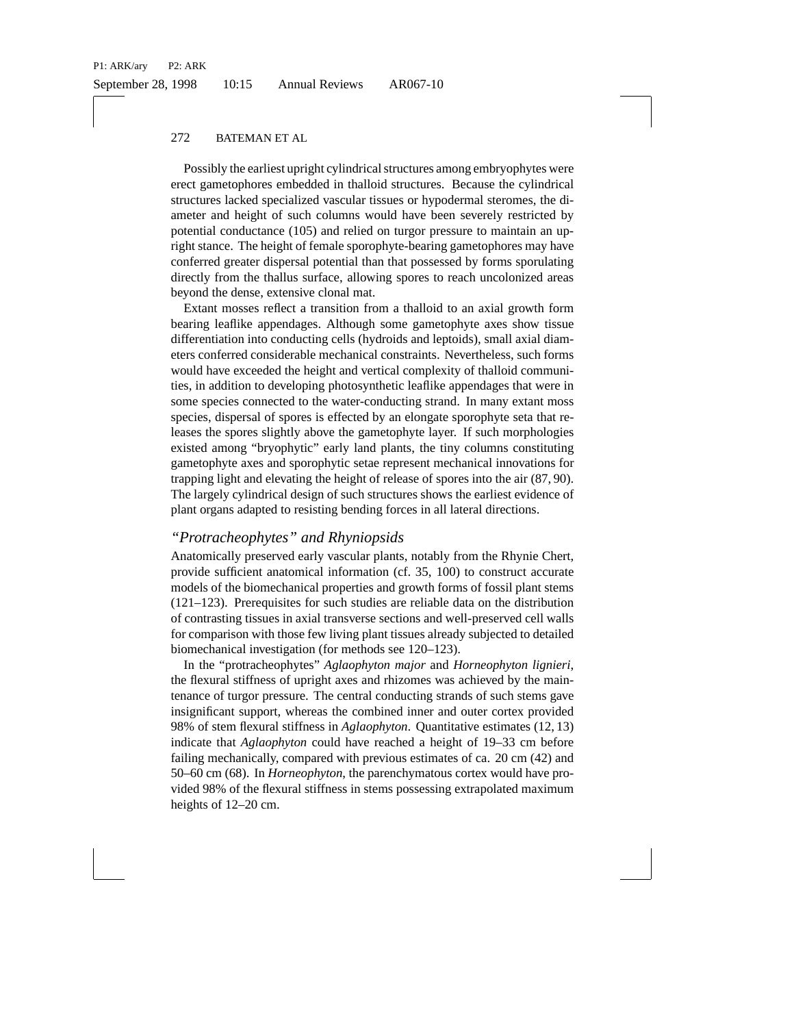Possibly the earliest upright cylindrical structures among embryophytes were erect gametophores embedded in thalloid structures. Because the cylindrical structures lacked specialized vascular tissues or hypodermal steromes, the diameter and height of such columns would have been severely restricted by potential conductance (105) and relied on turgor pressure to maintain an upright stance. The height of female sporophyte-bearing gametophores may have conferred greater dispersal potential than that possessed by forms sporulating directly from the thallus surface, allowing spores to reach uncolonized areas beyond the dense, extensive clonal mat.

Extant mosses reflect a transition from a thalloid to an axial growth form bearing leaflike appendages. Although some gametophyte axes show tissue differentiation into conducting cells (hydroids and leptoids), small axial diameters conferred considerable mechanical constraints. Nevertheless, such forms would have exceeded the height and vertical complexity of thalloid communities, in addition to developing photosynthetic leaflike appendages that were in some species connected to the water-conducting strand. In many extant moss species, dispersal of spores is effected by an elongate sporophyte seta that releases the spores slightly above the gametophyte layer. If such morphologies existed among "bryophytic" early land plants, the tiny columns constituting gametophyte axes and sporophytic setae represent mechanical innovations for trapping light and elevating the height of release of spores into the air (87, 90). The largely cylindrical design of such structures shows the earliest evidence of plant organs adapted to resisting bending forces in all lateral directions.

#### *"Protracheophytes" and Rhyniopsids*

Anatomically preserved early vascular plants, notably from the Rhynie Chert, provide sufficient anatomical information (cf. 35, 100) to construct accurate models of the biomechanical properties and growth forms of fossil plant stems (121–123). Prerequisites for such studies are reliable data on the distribution of contrasting tissues in axial transverse sections and well-preserved cell walls for comparison with those few living plant tissues already subjected to detailed biomechanical investigation (for methods see 120–123).

In the "protracheophytes" *Aglaophyton major* and *Horneophyton lignieri*, the flexural stiffness of upright axes and rhizomes was achieved by the maintenance of turgor pressure. The central conducting strands of such stems gave insignificant support, whereas the combined inner and outer cortex provided 98% of stem flexural stiffness in *Aglaophyton*. Quantitative estimates (12, 13) indicate that *Aglaophyton* could have reached a height of 19–33 cm before failing mechanically, compared with previous estimates of ca. 20 cm (42) and 50–60 cm (68). In *Horneophyton*, the parenchymatous cortex would have provided 98% of the flexural stiffness in stems possessing extrapolated maximum heights of 12–20 cm.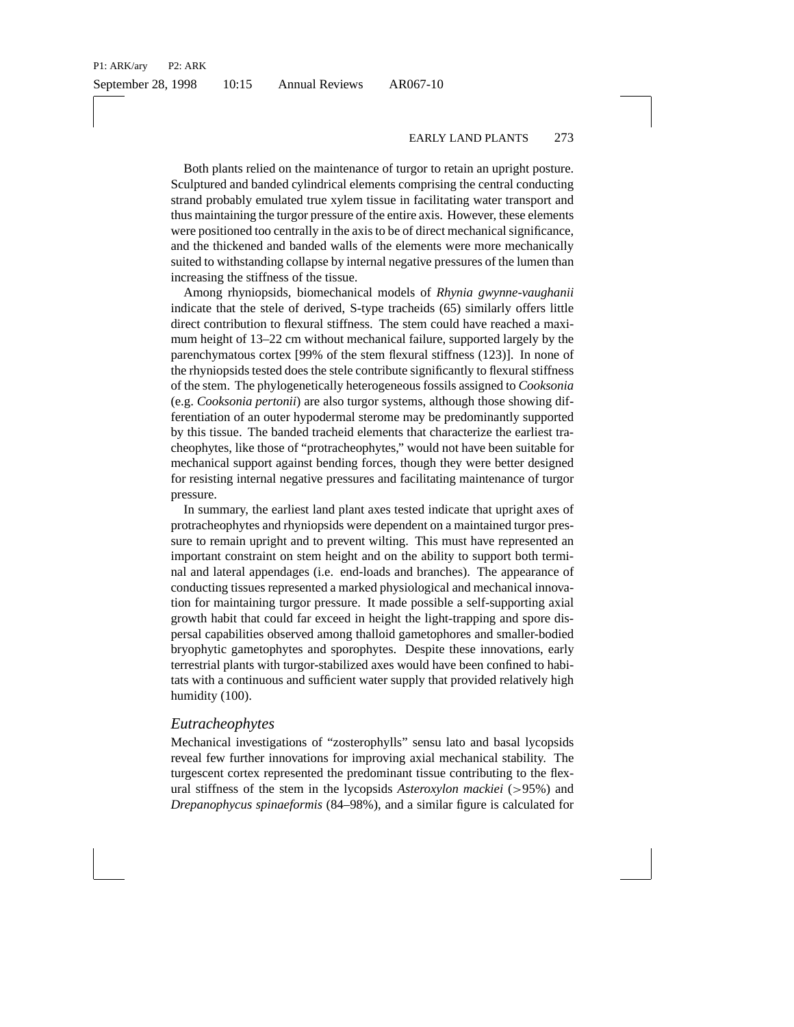Both plants relied on the maintenance of turgor to retain an upright posture. Sculptured and banded cylindrical elements comprising the central conducting strand probably emulated true xylem tissue in facilitating water transport and thus maintaining the turgor pressure of the entire axis. However, these elements were positioned too centrally in the axis to be of direct mechanical significance, and the thickened and banded walls of the elements were more mechanically suited to withstanding collapse by internal negative pressures of the lumen than increasing the stiffness of the tissue.

Among rhyniopsids, biomechanical models of *Rhynia gwynne-vaughanii* indicate that the stele of derived, S-type tracheids (65) similarly offers little direct contribution to flexural stiffness. The stem could have reached a maximum height of 13–22 cm without mechanical failure, supported largely by the parenchymatous cortex [99% of the stem flexural stiffness (123)]. In none of the rhyniopsids tested does the stele contribute significantly to flexural stiffness of the stem. The phylogenetically heterogeneous fossils assigned to *Cooksonia* (e.g. *Cooksonia pertonii*) are also turgor systems, although those showing differentiation of an outer hypodermal sterome may be predominantly supported by this tissue. The banded tracheid elements that characterize the earliest tracheophytes, like those of "protracheophytes," would not have been suitable for mechanical support against bending forces, though they were better designed for resisting internal negative pressures and facilitating maintenance of turgor pressure.

In summary, the earliest land plant axes tested indicate that upright axes of protracheophytes and rhyniopsids were dependent on a maintained turgor pressure to remain upright and to prevent wilting. This must have represented an important constraint on stem height and on the ability to support both terminal and lateral appendages (i.e. end-loads and branches). The appearance of conducting tissues represented a marked physiological and mechanical innovation for maintaining turgor pressure. It made possible a self-supporting axial growth habit that could far exceed in height the light-trapping and spore dispersal capabilities observed among thalloid gametophores and smaller-bodied bryophytic gametophytes and sporophytes. Despite these innovations, early terrestrial plants with turgor-stabilized axes would have been confined to habitats with a continuous and sufficient water supply that provided relatively high humidity (100).

#### *Eutracheophytes*

Mechanical investigations of "zosterophylls" sensu lato and basal lycopsids reveal few further innovations for improving axial mechanical stability. The turgescent cortex represented the predominant tissue contributing to the flexural stiffness of the stem in the lycopsids *Asteroxylon mackiei* (>95%) and *Drepanophycus spinaeformis* (84–98%), and a similar figure is calculated for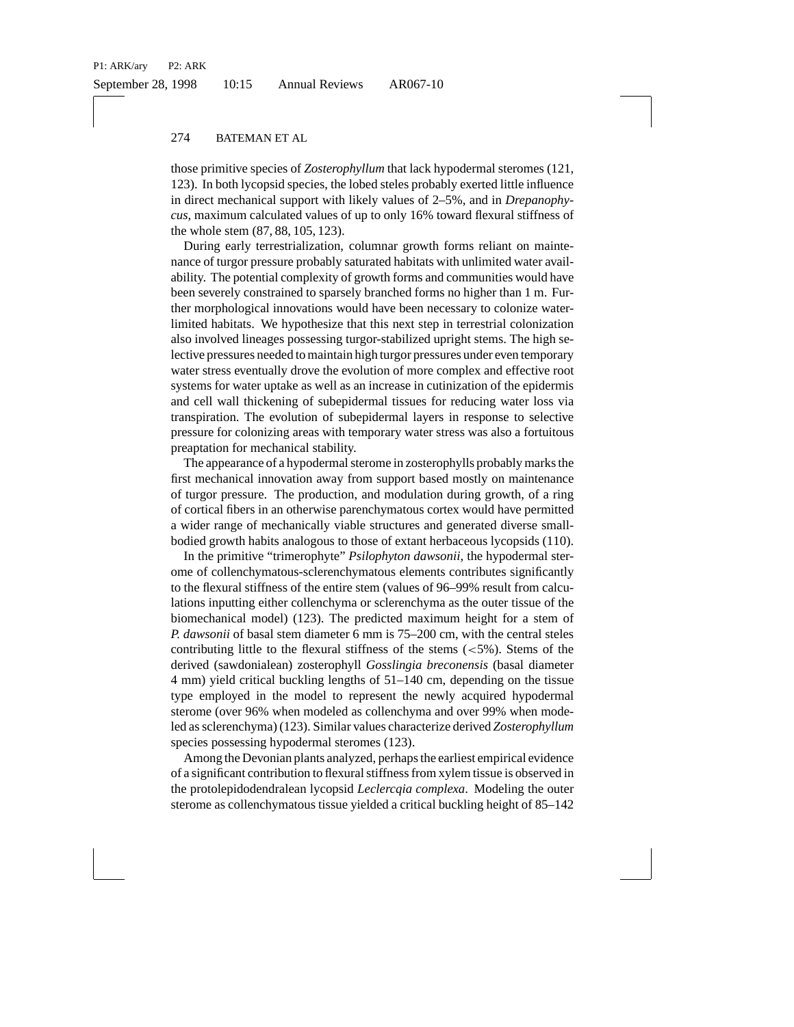those primitive species of *Zosterophyllum* that lack hypodermal steromes (121, 123). In both lycopsid species, the lobed steles probably exerted little influence in direct mechanical support with likely values of 2–5%, and in *Drepanophycus*, maximum calculated values of up to only 16% toward flexural stiffness of the whole stem (87, 88, 105, 123).

During early terrestrialization, columnar growth forms reliant on maintenance of turgor pressure probably saturated habitats with unlimited water availability. The potential complexity of growth forms and communities would have been severely constrained to sparsely branched forms no higher than 1 m. Further morphological innovations would have been necessary to colonize waterlimited habitats. We hypothesize that this next step in terrestrial colonization also involved lineages possessing turgor-stabilized upright stems. The high selective pressures needed to maintain high turgor pressures under even temporary water stress eventually drove the evolution of more complex and effective root systems for water uptake as well as an increase in cutinization of the epidermis and cell wall thickening of subepidermal tissues for reducing water loss via transpiration. The evolution of subepidermal layers in response to selective pressure for colonizing areas with temporary water stress was also a fortuitous preaptation for mechanical stability.

The appearance of a hypodermal sterome in zosterophylls probably marks the first mechanical innovation away from support based mostly on maintenance of turgor pressure. The production, and modulation during growth, of a ring of cortical fibers in an otherwise parenchymatous cortex would have permitted a wider range of mechanically viable structures and generated diverse smallbodied growth habits analogous to those of extant herbaceous lycopsids (110).

In the primitive "trimerophyte" *Psilophyton dawsonii*, the hypodermal sterome of collenchymatous-sclerenchymatous elements contributes significantly to the flexural stiffness of the entire stem (values of 96–99% result from calculations inputting either collenchyma or sclerenchyma as the outer tissue of the biomechanical model) (123). The predicted maximum height for a stem of *P. dawsonii* of basal stem diameter 6 mm is 75–200 cm, with the central steles contributing little to the flexural stiffness of the stems  $(<5\%)$ . Stems of the derived (sawdonialean) zosterophyll *Gosslingia breconensis* (basal diameter 4 mm) yield critical buckling lengths of 51–140 cm, depending on the tissue type employed in the model to represent the newly acquired hypodermal sterome (over 96% when modeled as collenchyma and over 99% when modeled as sclerenchyma) (123). Similar values characterize derived *Zosterophyllum* species possessing hypodermal steromes (123).

Among the Devonian plants analyzed, perhaps the earliest empirical evidence of a significant contribution to flexural stiffness from xylem tissue is observed in the protolepidodendralean lycopsid *Leclercqia complexa*. Modeling the outer sterome as collenchymatous tissue yielded a critical buckling height of 85–142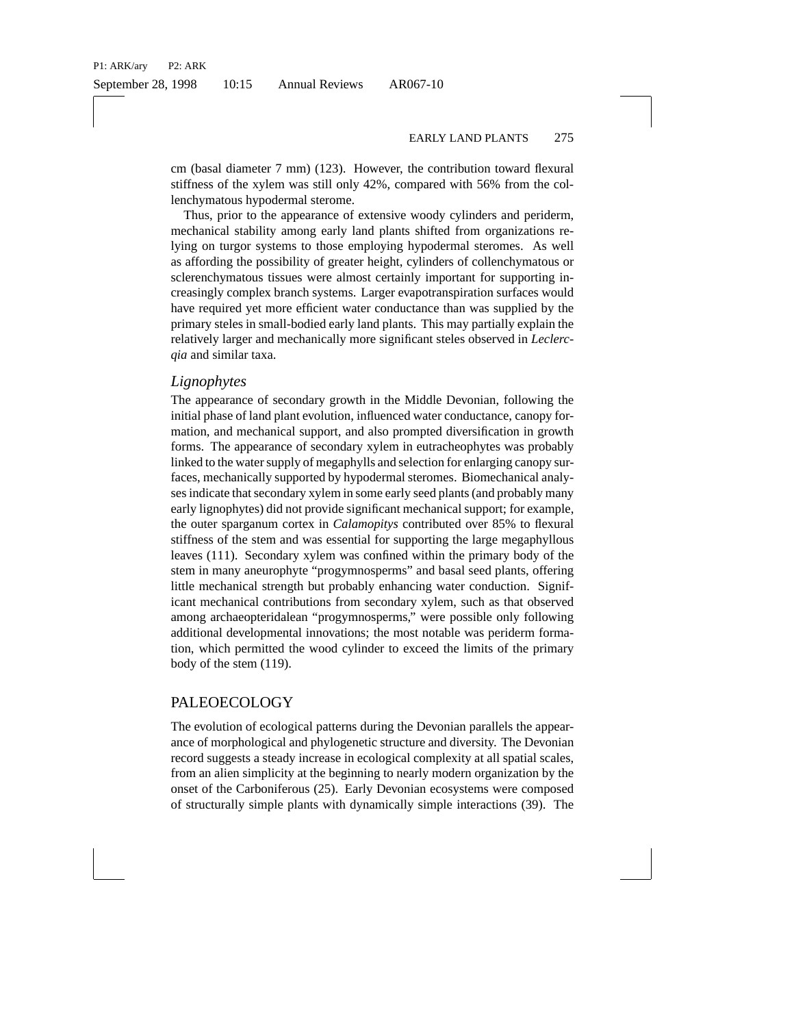cm (basal diameter 7 mm) (123). However, the contribution toward flexural stiffness of the xylem was still only 42%, compared with 56% from the collenchymatous hypodermal sterome.

Thus, prior to the appearance of extensive woody cylinders and periderm, mechanical stability among early land plants shifted from organizations relying on turgor systems to those employing hypodermal steromes. As well as affording the possibility of greater height, cylinders of collenchymatous or sclerenchymatous tissues were almost certainly important for supporting increasingly complex branch systems. Larger evapotranspiration surfaces would have required yet more efficient water conductance than was supplied by the primary steles in small-bodied early land plants. This may partially explain the relatively larger and mechanically more significant steles observed in *Leclercqia* and similar taxa.

## *Lignophytes*

The appearance of secondary growth in the Middle Devonian, following the initial phase of land plant evolution, influenced water conductance, canopy formation, and mechanical support, and also prompted diversification in growth forms. The appearance of secondary xylem in eutracheophytes was probably linked to the water supply of megaphylls and selection for enlarging canopy surfaces, mechanically supported by hypodermal steromes. Biomechanical analyses indicate that secondary xylem in some early seed plants (and probably many early lignophytes) did not provide significant mechanical support; for example, the outer sparganum cortex in *Calamopitys* contributed over 85% to flexural stiffness of the stem and was essential for supporting the large megaphyllous leaves (111). Secondary xylem was confined within the primary body of the stem in many aneurophyte "progymnosperms" and basal seed plants, offering little mechanical strength but probably enhancing water conduction. Significant mechanical contributions from secondary xylem, such as that observed among archaeopteridalean "progymnosperms," were possible only following additional developmental innovations; the most notable was periderm formation, which permitted the wood cylinder to exceed the limits of the primary body of the stem (119).

# PALEOECOLOGY

The evolution of ecological patterns during the Devonian parallels the appearance of morphological and phylogenetic structure and diversity. The Devonian record suggests a steady increase in ecological complexity at all spatial scales, from an alien simplicity at the beginning to nearly modern organization by the onset of the Carboniferous (25). Early Devonian ecosystems were composed of structurally simple plants with dynamically simple interactions (39). The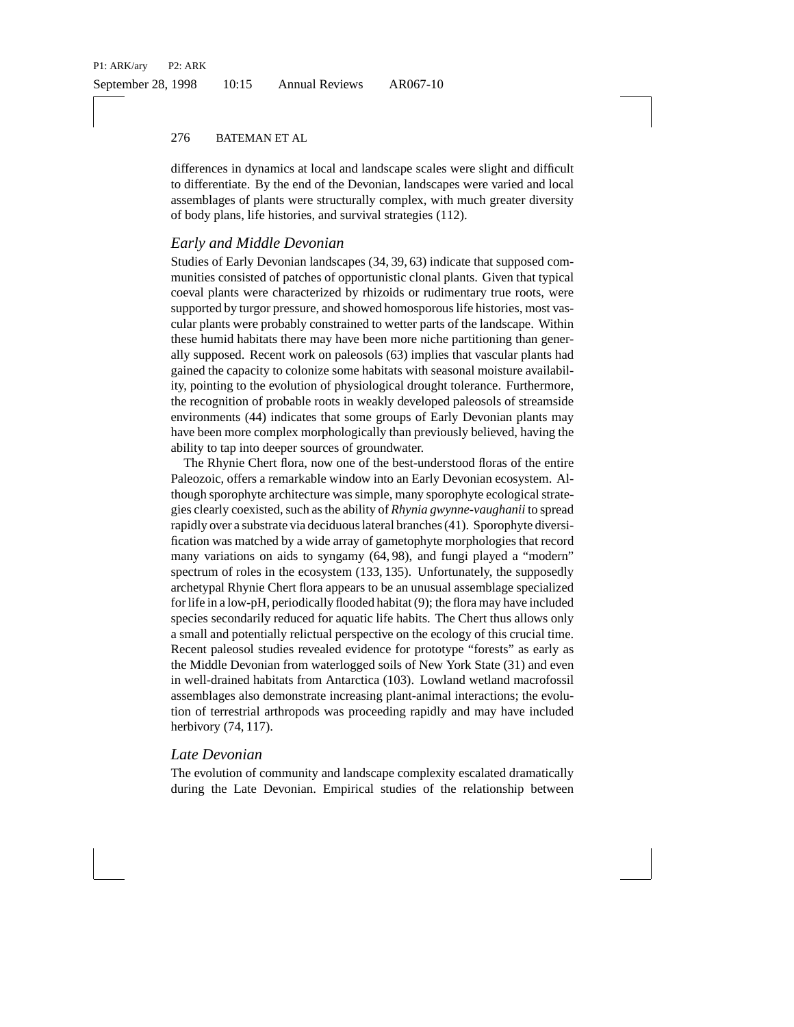differences in dynamics at local and landscape scales were slight and difficult to differentiate. By the end of the Devonian, landscapes were varied and local assemblages of plants were structurally complex, with much greater diversity of body plans, life histories, and survival strategies (112).

# *Early and Middle Devonian*

Studies of Early Devonian landscapes (34, 39, 63) indicate that supposed communities consisted of patches of opportunistic clonal plants. Given that typical coeval plants were characterized by rhizoids or rudimentary true roots, were supported by turgor pressure, and showed homosporous life histories, most vascular plants were probably constrained to wetter parts of the landscape. Within these humid habitats there may have been more niche partitioning than generally supposed. Recent work on paleosols (63) implies that vascular plants had gained the capacity to colonize some habitats with seasonal moisture availability, pointing to the evolution of physiological drought tolerance. Furthermore, the recognition of probable roots in weakly developed paleosols of streamside environments (44) indicates that some groups of Early Devonian plants may have been more complex morphologically than previously believed, having the ability to tap into deeper sources of groundwater.

The Rhynie Chert flora, now one of the best-understood floras of the entire Paleozoic, offers a remarkable window into an Early Devonian ecosystem. Although sporophyte architecture was simple, many sporophyte ecological strategies clearly coexisted, such as the ability of *Rhynia gwynne-vaughanii* to spread rapidly over a substrate via deciduous lateral branches (41). Sporophyte diversification was matched by a wide array of gametophyte morphologies that record many variations on aids to syngamy (64, 98), and fungi played a "modern" spectrum of roles in the ecosystem (133, 135). Unfortunately, the supposedly archetypal Rhynie Chert flora appears to be an unusual assemblage specialized for life in a low-pH, periodically flooded habitat (9); the flora may have included species secondarily reduced for aquatic life habits. The Chert thus allows only a small and potentially relictual perspective on the ecology of this crucial time. Recent paleosol studies revealed evidence for prototype "forests" as early as the Middle Devonian from waterlogged soils of New York State (31) and even in well-drained habitats from Antarctica (103). Lowland wetland macrofossil assemblages also demonstrate increasing plant-animal interactions; the evolution of terrestrial arthropods was proceeding rapidly and may have included herbivory (74, 117).

# *Late Devonian*

The evolution of community and landscape complexity escalated dramatically during the Late Devonian. Empirical studies of the relationship between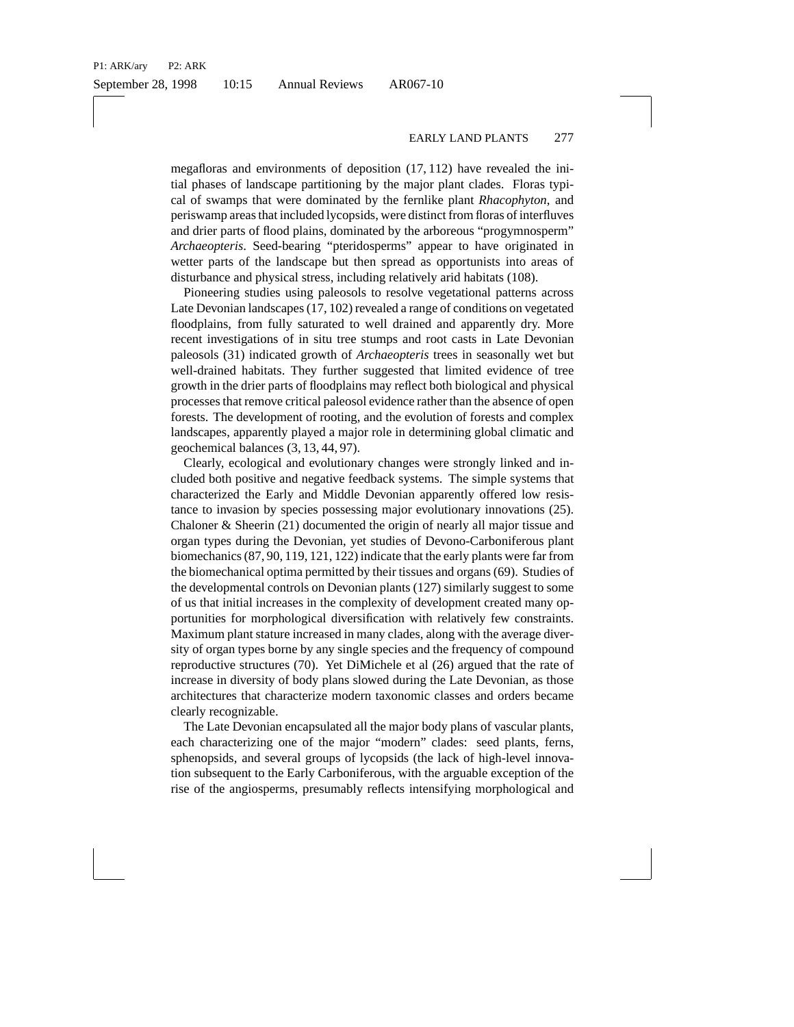megafloras and environments of deposition (17, 112) have revealed the initial phases of landscape partitioning by the major plant clades. Floras typical of swamps that were dominated by the fernlike plant *Rhacophyton*, and periswamp areas that included lycopsids, were distinct from floras of interfluves and drier parts of flood plains, dominated by the arboreous "progymnosperm" *Archaeopteris*. Seed-bearing "pteridosperms" appear to have originated in wetter parts of the landscape but then spread as opportunists into areas of disturbance and physical stress, including relatively arid habitats (108).

Pioneering studies using paleosols to resolve vegetational patterns across Late Devonian landscapes (17, 102) revealed a range of conditions on vegetated floodplains, from fully saturated to well drained and apparently dry. More recent investigations of in situ tree stumps and root casts in Late Devonian paleosols (31) indicated growth of *Archaeopteris* trees in seasonally wet but well-drained habitats. They further suggested that limited evidence of tree growth in the drier parts of floodplains may reflect both biological and physical processes that remove critical paleosol evidence rather than the absence of open forests. The development of rooting, and the evolution of forests and complex landscapes, apparently played a major role in determining global climatic and geochemical balances (3, 13, 44, 97).

Clearly, ecological and evolutionary changes were strongly linked and included both positive and negative feedback systems. The simple systems that characterized the Early and Middle Devonian apparently offered low resistance to invasion by species possessing major evolutionary innovations (25). Chaloner & Sheerin (21) documented the origin of nearly all major tissue and organ types during the Devonian, yet studies of Devono-Carboniferous plant biomechanics (87, 90, 119, 121, 122) indicate that the early plants were far from the biomechanical optima permitted by their tissues and organs (69). Studies of the developmental controls on Devonian plants (127) similarly suggest to some of us that initial increases in the complexity of development created many opportunities for morphological diversification with relatively few constraints. Maximum plant stature increased in many clades, along with the average diversity of organ types borne by any single species and the frequency of compound reproductive structures (70). Yet DiMichele et al (26) argued that the rate of increase in diversity of body plans slowed during the Late Devonian, as those architectures that characterize modern taxonomic classes and orders became clearly recognizable.

The Late Devonian encapsulated all the major body plans of vascular plants, each characterizing one of the major "modern" clades: seed plants, ferns, sphenopsids, and several groups of lycopsids (the lack of high-level innovation subsequent to the Early Carboniferous, with the arguable exception of the rise of the angiosperms, presumably reflects intensifying morphological and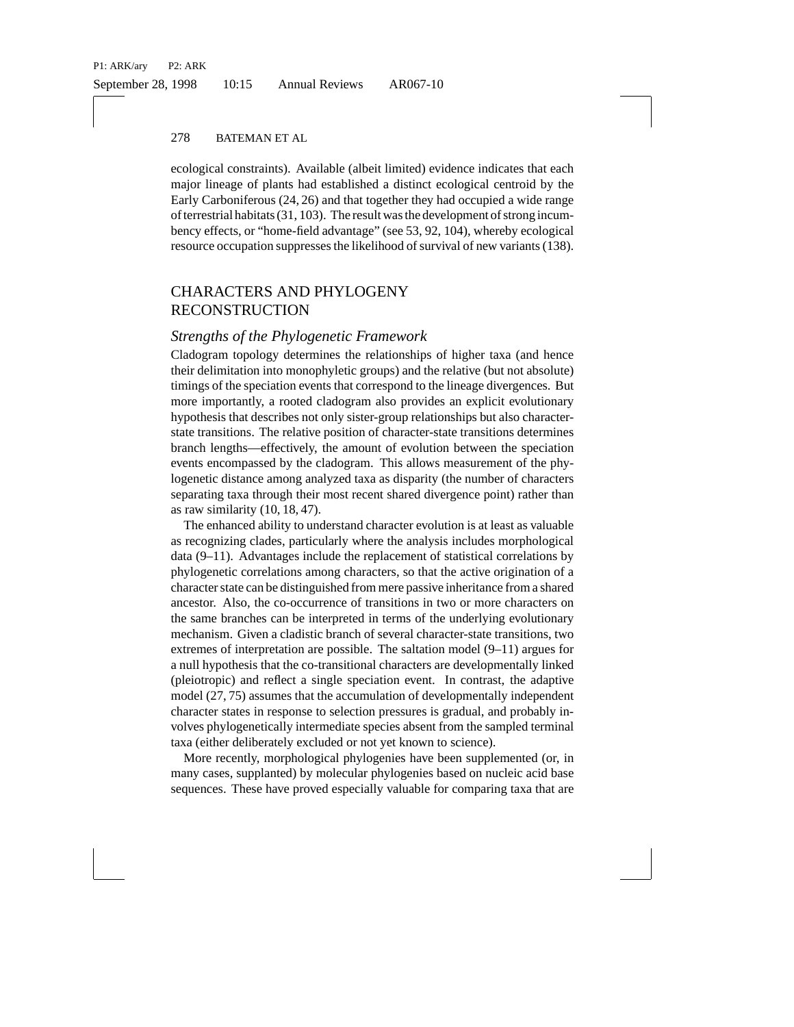ecological constraints). Available (albeit limited) evidence indicates that each major lineage of plants had established a distinct ecological centroid by the Early Carboniferous (24, 26) and that together they had occupied a wide range of terrestrial habitats (31, 103). The result was the development of strong incumbency effects, or "home-field advantage" (see 53, 92, 104), whereby ecological resource occupation suppresses the likelihood of survival of new variants (138).

# CHARACTERS AND PHYLOGENY RECONSTRUCTION

#### *Strengths of the Phylogenetic Framework*

Cladogram topology determines the relationships of higher taxa (and hence their delimitation into monophyletic groups) and the relative (but not absolute) timings of the speciation events that correspond to the lineage divergences. But more importantly, a rooted cladogram also provides an explicit evolutionary hypothesis that describes not only sister-group relationships but also characterstate transitions. The relative position of character-state transitions determines branch lengths—effectively, the amount of evolution between the speciation events encompassed by the cladogram. This allows measurement of the phylogenetic distance among analyzed taxa as disparity (the number of characters separating taxa through their most recent shared divergence point) rather than as raw similarity (10, 18, 47).

The enhanced ability to understand character evolution is at least as valuable as recognizing clades, particularly where the analysis includes morphological data (9–11). Advantages include the replacement of statistical correlations by phylogenetic correlations among characters, so that the active origination of a character state can be distinguished from mere passive inheritance from a shared ancestor. Also, the co-occurrence of transitions in two or more characters on the same branches can be interpreted in terms of the underlying evolutionary mechanism. Given a cladistic branch of several character-state transitions, two extremes of interpretation are possible. The saltation model (9–11) argues for a null hypothesis that the co-transitional characters are developmentally linked (pleiotropic) and reflect a single speciation event. In contrast, the adaptive model (27, 75) assumes that the accumulation of developmentally independent character states in response to selection pressures is gradual, and probably involves phylogenetically intermediate species absent from the sampled terminal taxa (either deliberately excluded or not yet known to science).

More recently, morphological phylogenies have been supplemented (or, in many cases, supplanted) by molecular phylogenies based on nucleic acid base sequences. These have proved especially valuable for comparing taxa that are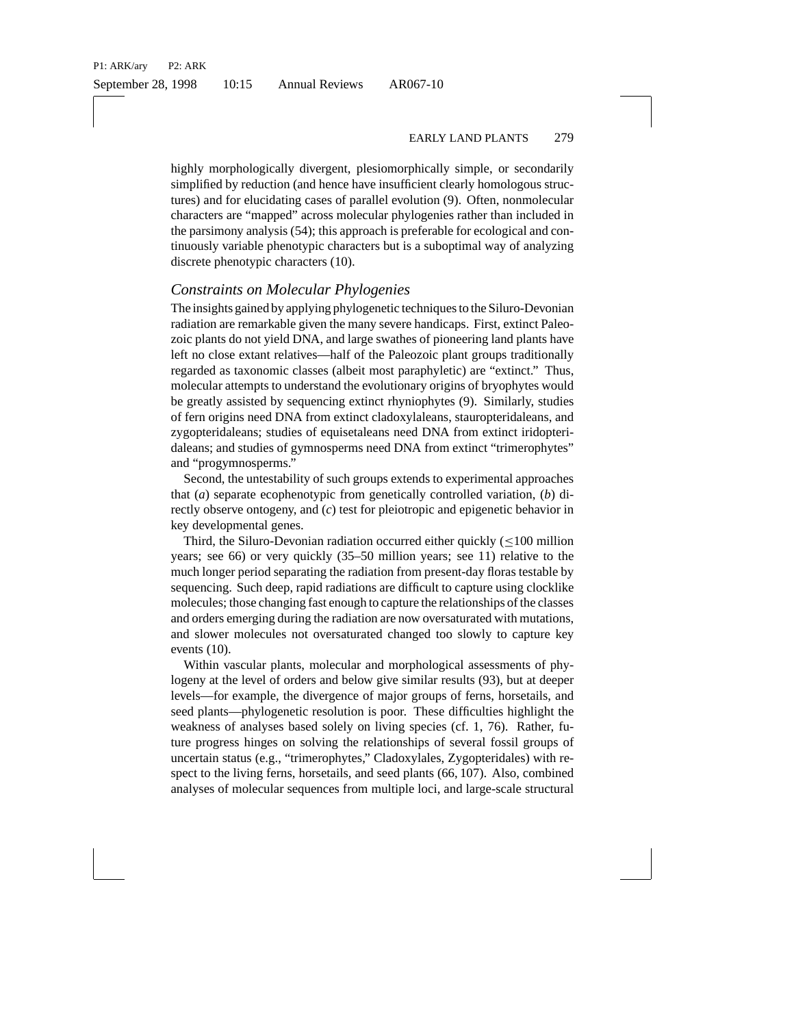highly morphologically divergent, plesiomorphically simple, or secondarily simplified by reduction (and hence have insufficient clearly homologous structures) and for elucidating cases of parallel evolution (9). Often, nonmolecular characters are "mapped" across molecular phylogenies rather than included in the parsimony analysis (54); this approach is preferable for ecological and continuously variable phenotypic characters but is a suboptimal way of analyzing discrete phenotypic characters (10).

#### *Constraints on Molecular Phylogenies*

The insights gained by applying phylogenetic techniques to the Siluro-Devonian radiation are remarkable given the many severe handicaps. First, extinct Paleozoic plants do not yield DNA, and large swathes of pioneering land plants have left no close extant relatives—half of the Paleozoic plant groups traditionally regarded as taxonomic classes (albeit most paraphyletic) are "extinct." Thus, molecular attempts to understand the evolutionary origins of bryophytes would be greatly assisted by sequencing extinct rhyniophytes (9). Similarly, studies of fern origins need DNA from extinct cladoxylaleans, stauropteridaleans, and zygopteridaleans; studies of equisetaleans need DNA from extinct iridopteridaleans; and studies of gymnosperms need DNA from extinct "trimerophytes" and "progymnosperms."

Second, the untestability of such groups extends to experimental approaches that (*a*) separate ecophenotypic from genetically controlled variation, (*b*) directly observe ontogeny, and (*c*) test for pleiotropic and epigenetic behavior in key developmental genes.

Third, the Siluro-Devonian radiation occurred either quickly  $(\leq 100$  million years; see 66) or very quickly (35–50 million years; see 11) relative to the much longer period separating the radiation from present-day floras testable by sequencing. Such deep, rapid radiations are difficult to capture using clocklike molecules; those changing fast enough to capture the relationships of the classes and orders emerging during the radiation are now oversaturated with mutations, and slower molecules not oversaturated changed too slowly to capture key events (10).

Within vascular plants, molecular and morphological assessments of phylogeny at the level of orders and below give similar results (93), but at deeper levels—for example, the divergence of major groups of ferns, horsetails, and seed plants—phylogenetic resolution is poor. These difficulties highlight the weakness of analyses based solely on living species (cf. 1, 76). Rather, future progress hinges on solving the relationships of several fossil groups of uncertain status (e.g., "trimerophytes," Cladoxylales, Zygopteridales) with respect to the living ferns, horsetails, and seed plants (66, 107). Also, combined analyses of molecular sequences from multiple loci, and large-scale structural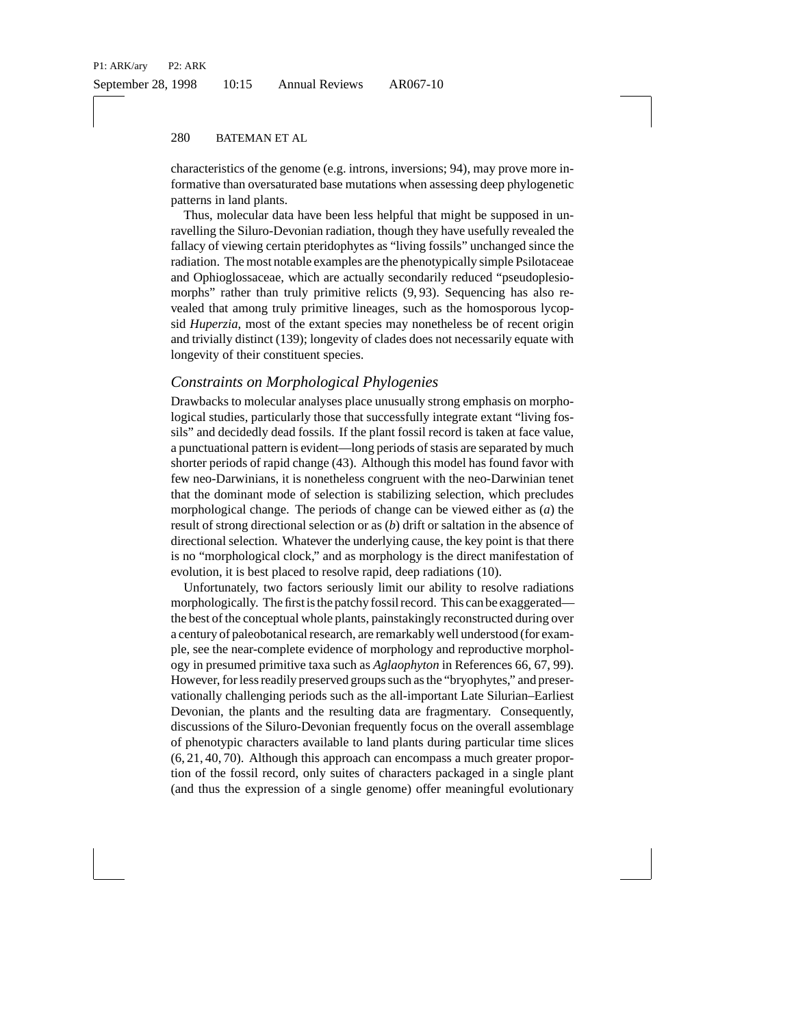characteristics of the genome (e.g. introns, inversions; 94), may prove more informative than oversaturated base mutations when assessing deep phylogenetic patterns in land plants.

Thus, molecular data have been less helpful that might be supposed in unravelling the Siluro-Devonian radiation, though they have usefully revealed the fallacy of viewing certain pteridophytes as "living fossils" unchanged since the radiation. The most notable examples are the phenotypically simple Psilotaceae and Ophioglossaceae, which are actually secondarily reduced "pseudoplesiomorphs" rather than truly primitive relicts (9,93). Sequencing has also revealed that among truly primitive lineages, such as the homosporous lycopsid *Huperzia*, most of the extant species may nonetheless be of recent origin and trivially distinct (139); longevity of clades does not necessarily equate with longevity of their constituent species.

#### *Constraints on Morphological Phylogenies*

Drawbacks to molecular analyses place unusually strong emphasis on morphological studies, particularly those that successfully integrate extant "living fossils" and decidedly dead fossils. If the plant fossil record is taken at face value, a punctuational pattern is evident—long periods of stasis are separated by much shorter periods of rapid change (43). Although this model has found favor with few neo-Darwinians, it is nonetheless congruent with the neo-Darwinian tenet that the dominant mode of selection is stabilizing selection, which precludes morphological change. The periods of change can be viewed either as (*a*) the result of strong directional selection or as (*b*) drift or saltation in the absence of directional selection. Whatever the underlying cause, the key point is that there is no "morphological clock," and as morphology is the direct manifestation of evolution, it is best placed to resolve rapid, deep radiations (10).

Unfortunately, two factors seriously limit our ability to resolve radiations morphologically. The first is the patchy fossil record. This can be exaggerated the best of the conceptual whole plants, painstakingly reconstructed during over a century of paleobotanical research, are remarkably well understood (for example, see the near-complete evidence of morphology and reproductive morphology in presumed primitive taxa such as *Aglaophyton* in References 66, 67, 99). However, for less readily preserved groups such as the "bryophytes," and preservationally challenging periods such as the all-important Late Silurian–Earliest Devonian, the plants and the resulting data are fragmentary. Consequently, discussions of the Siluro-Devonian frequently focus on the overall assemblage of phenotypic characters available to land plants during particular time slices (6, 21, 40, 70). Although this approach can encompass a much greater proportion of the fossil record, only suites of characters packaged in a single plant (and thus the expression of a single genome) offer meaningful evolutionary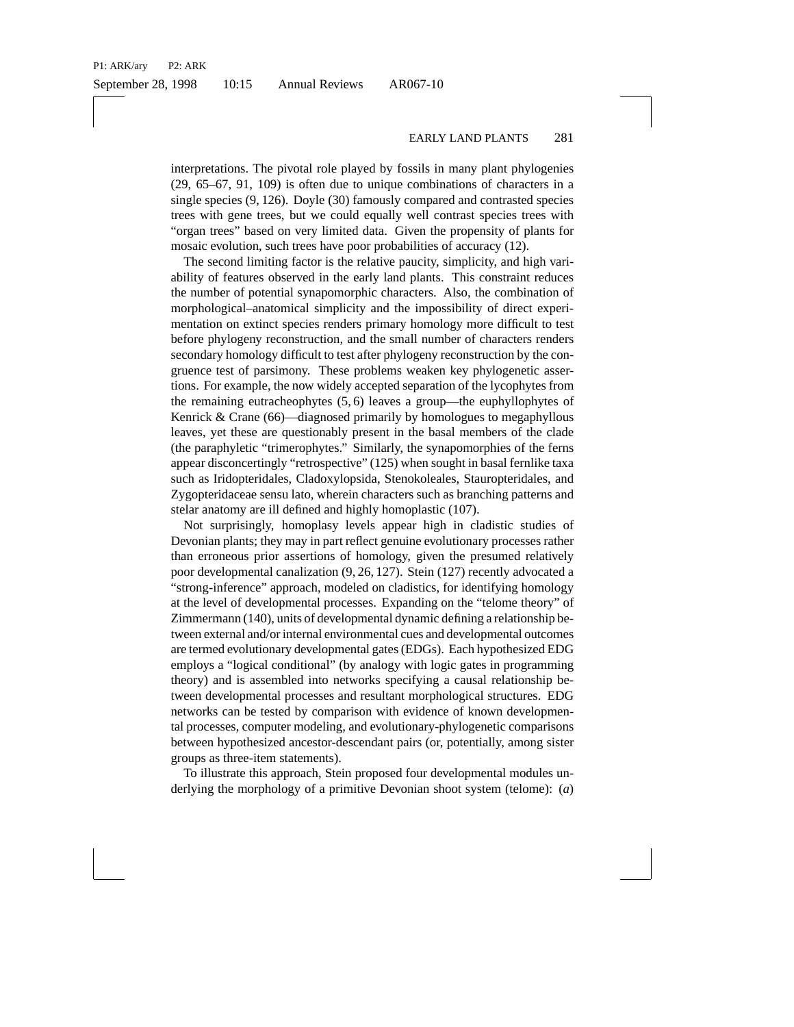interpretations. The pivotal role played by fossils in many plant phylogenies (29, 65–67, 91, 109) is often due to unique combinations of characters in a single species (9, 126). Doyle (30) famously compared and contrasted species trees with gene trees, but we could equally well contrast species trees with "organ trees" based on very limited data. Given the propensity of plants for mosaic evolution, such trees have poor probabilities of accuracy (12).

The second limiting factor is the relative paucity, simplicity, and high variability of features observed in the early land plants. This constraint reduces the number of potential synapomorphic characters. Also, the combination of morphological–anatomical simplicity and the impossibility of direct experimentation on extinct species renders primary homology more difficult to test before phylogeny reconstruction, and the small number of characters renders secondary homology difficult to test after phylogeny reconstruction by the congruence test of parsimony. These problems weaken key phylogenetic assertions. For example, the now widely accepted separation of the lycophytes from the remaining eutracheophytes (5, 6) leaves a group—the euphyllophytes of Kenrick & Crane (66)—diagnosed primarily by homologues to megaphyllous leaves, yet these are questionably present in the basal members of the clade (the paraphyletic "trimerophytes." Similarly, the synapomorphies of the ferns appear disconcertingly "retrospective" (125) when sought in basal fernlike taxa such as Iridopteridales, Cladoxylopsida, Stenokoleales, Stauropteridales, and Zygopteridaceae sensu lato, wherein characters such as branching patterns and stelar anatomy are ill defined and highly homoplastic (107).

Not surprisingly, homoplasy levels appear high in cladistic studies of Devonian plants; they may in part reflect genuine evolutionary processes rather than erroneous prior assertions of homology, given the presumed relatively poor developmental canalization (9, 26, 127). Stein (127) recently advocated a "strong-inference" approach, modeled on cladistics, for identifying homology at the level of developmental processes. Expanding on the "telome theory" of Zimmermann (140), units of developmental dynamic defining a relationship between external and/or internal environmental cues and developmental outcomes are termed evolutionary developmental gates (EDGs). Each hypothesized EDG employs a "logical conditional" (by analogy with logic gates in programming theory) and is assembled into networks specifying a causal relationship between developmental processes and resultant morphological structures. EDG networks can be tested by comparison with evidence of known developmental processes, computer modeling, and evolutionary-phylogenetic comparisons between hypothesized ancestor-descendant pairs (or, potentially, among sister groups as three-item statements).

To illustrate this approach, Stein proposed four developmental modules underlying the morphology of a primitive Devonian shoot system (telome): (*a*)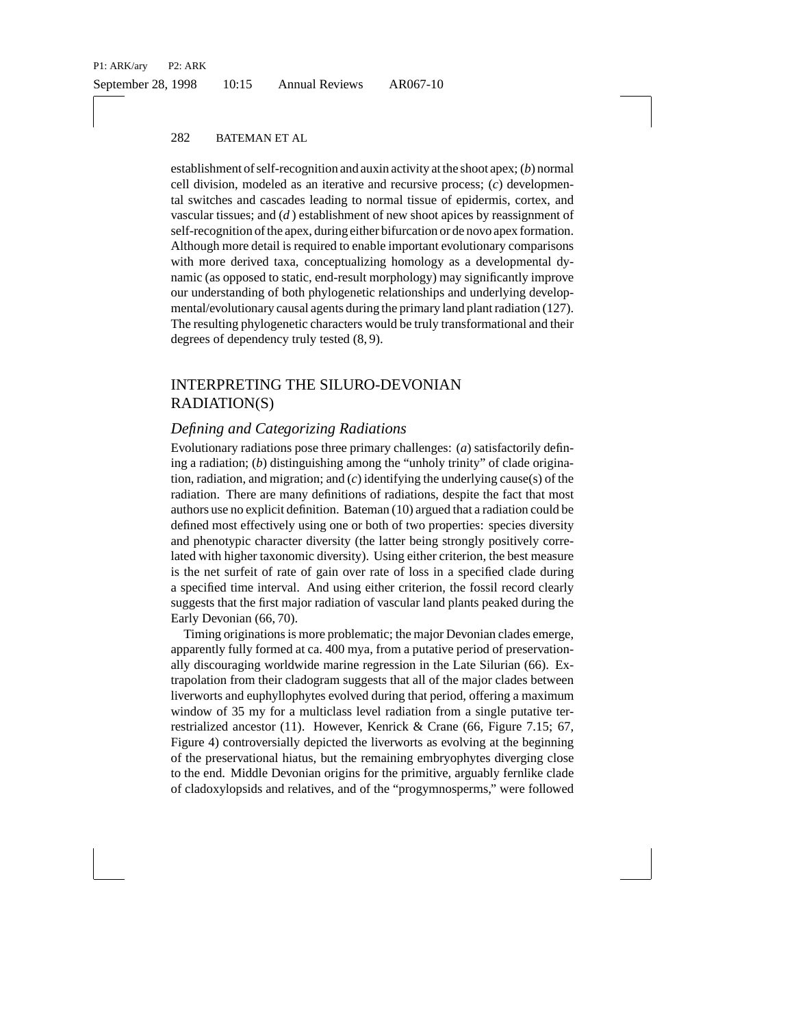establishment of self-recognition and auxin activity at the shoot apex; (*b*) normal cell division, modeled as an iterative and recursive process; (*c*) developmental switches and cascades leading to normal tissue of epidermis, cortex, and vascular tissues; and (*d* ) establishment of new shoot apices by reassignment of self-recognition of the apex, during either bifurcation or de novo apex formation. Although more detail is required to enable important evolutionary comparisons with more derived taxa, conceptualizing homology as a developmental dynamic (as opposed to static, end-result morphology) may significantly improve our understanding of both phylogenetic relationships and underlying developmental/evolutionary causal agents during the primary land plant radiation (127). The resulting phylogenetic characters would be truly transformational and their degrees of dependency truly tested (8, 9).

# INTERPRETING THE SILURO-DEVONIAN RADIATION(S)

# *Defining and Categorizing Radiations*

Evolutionary radiations pose three primary challenges: (*a*) satisfactorily defining a radiation; (*b*) distinguishing among the "unholy trinity" of clade origination, radiation, and migration; and (*c*) identifying the underlying cause(s) of the radiation. There are many definitions of radiations, despite the fact that most authors use no explicit definition. Bateman (10) argued that a radiation could be defined most effectively using one or both of two properties: species diversity and phenotypic character diversity (the latter being strongly positively correlated with higher taxonomic diversity). Using either criterion, the best measure is the net surfeit of rate of gain over rate of loss in a specified clade during a specified time interval. And using either criterion, the fossil record clearly suggests that the first major radiation of vascular land plants peaked during the Early Devonian (66, 70).

Timing originations is more problematic; the major Devonian clades emerge, apparently fully formed at ca. 400 mya, from a putative period of preservationally discouraging worldwide marine regression in the Late Silurian (66). Extrapolation from their cladogram suggests that all of the major clades between liverworts and euphyllophytes evolved during that period, offering a maximum window of 35 my for a multiclass level radiation from a single putative terrestrialized ancestor (11). However, Kenrick & Crane (66, Figure 7.15; 67, Figure 4) controversially depicted the liverworts as evolving at the beginning of the preservational hiatus, but the remaining embryophytes diverging close to the end. Middle Devonian origins for the primitive, arguably fernlike clade of cladoxylopsids and relatives, and of the "progymnosperms," were followed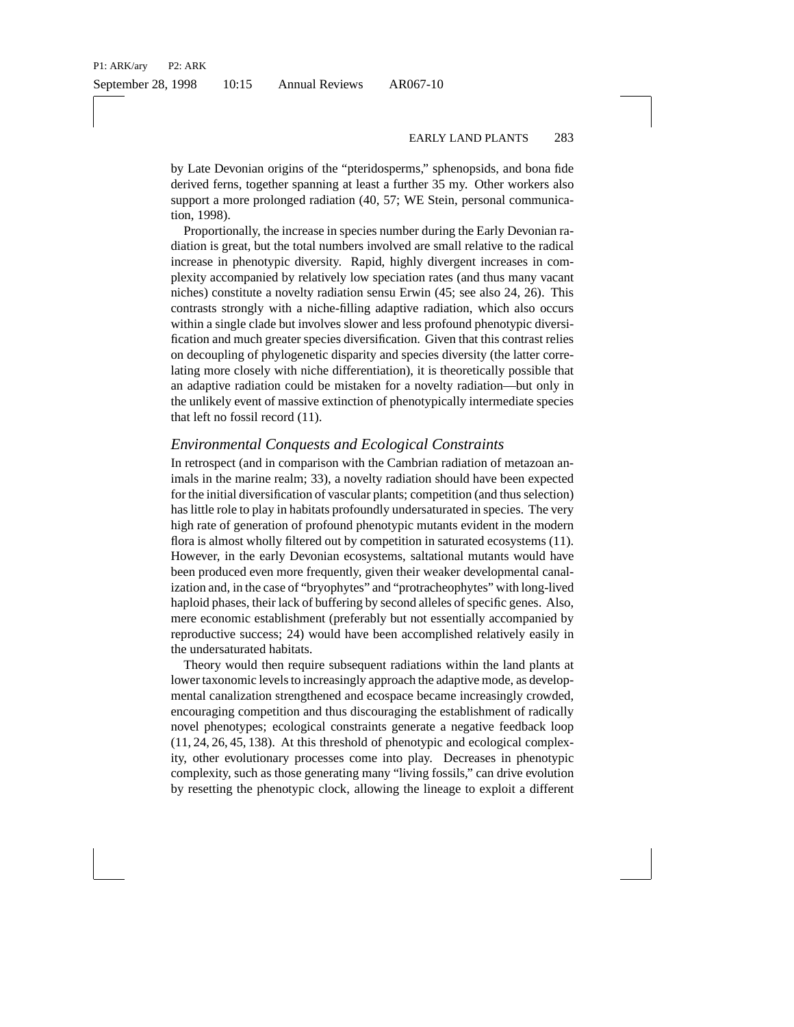by Late Devonian origins of the "pteridosperms," sphenopsids, and bona fide derived ferns, together spanning at least a further 35 my. Other workers also support a more prolonged radiation (40, 57; WE Stein, personal communication, 1998).

Proportionally, the increase in species number during the Early Devonian radiation is great, but the total numbers involved are small relative to the radical increase in phenotypic diversity. Rapid, highly divergent increases in complexity accompanied by relatively low speciation rates (and thus many vacant niches) constitute a novelty radiation sensu Erwin (45; see also 24, 26). This contrasts strongly with a niche-filling adaptive radiation, which also occurs within a single clade but involves slower and less profound phenotypic diversification and much greater species diversification. Given that this contrast relies on decoupling of phylogenetic disparity and species diversity (the latter correlating more closely with niche differentiation), it is theoretically possible that an adaptive radiation could be mistaken for a novelty radiation—but only in the unlikely event of massive extinction of phenotypically intermediate species that left no fossil record (11).

#### *Environmental Conquests and Ecological Constraints*

In retrospect (and in comparison with the Cambrian radiation of metazoan animals in the marine realm; 33), a novelty radiation should have been expected for the initial diversification of vascular plants; competition (and thus selection) has little role to play in habitats profoundly undersaturated in species. The very high rate of generation of profound phenotypic mutants evident in the modern flora is almost wholly filtered out by competition in saturated ecosystems (11). However, in the early Devonian ecosystems, saltational mutants would have been produced even more frequently, given their weaker developmental canalization and, in the case of "bryophytes" and "protracheophytes" with long-lived haploid phases, their lack of buffering by second alleles of specific genes. Also, mere economic establishment (preferably but not essentially accompanied by reproductive success; 24) would have been accomplished relatively easily in the undersaturated habitats.

Theory would then require subsequent radiations within the land plants at lower taxonomic levels to increasingly approach the adaptive mode, as developmental canalization strengthened and ecospace became increasingly crowded, encouraging competition and thus discouraging the establishment of radically novel phenotypes; ecological constraints generate a negative feedback loop (11, 24, 26, 45, 138). At this threshold of phenotypic and ecological complexity, other evolutionary processes come into play. Decreases in phenotypic complexity, such as those generating many "living fossils," can drive evolution by resetting the phenotypic clock, allowing the lineage to exploit a different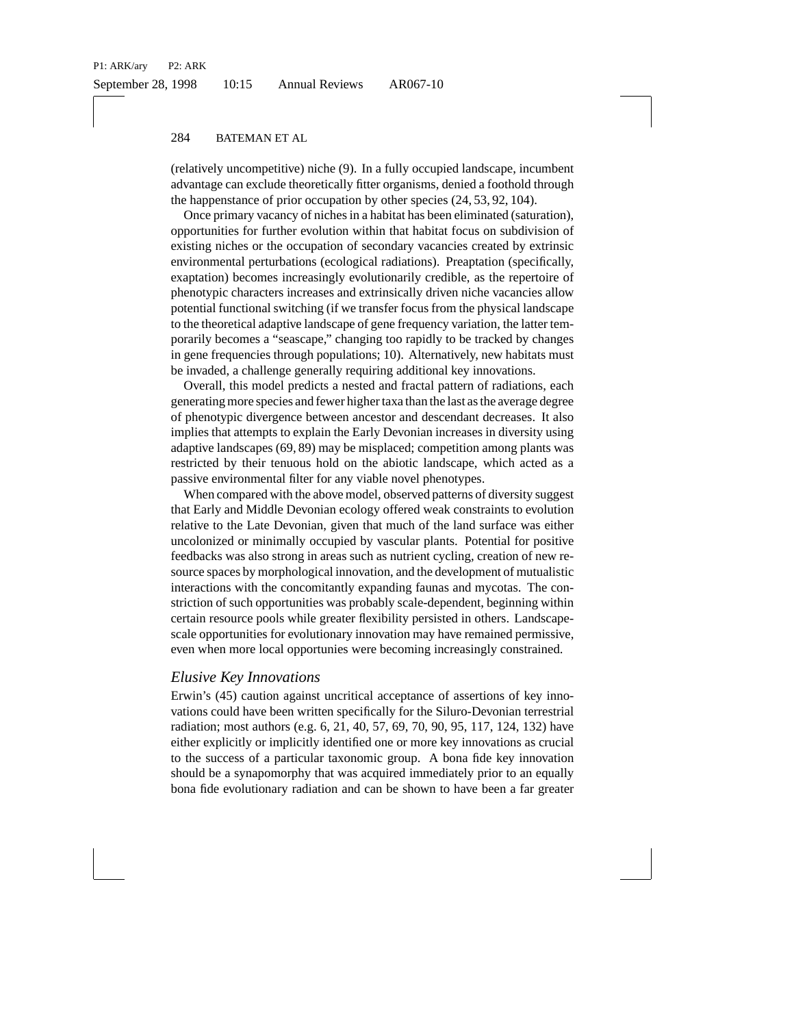(relatively uncompetitive) niche (9). In a fully occupied landscape, incumbent advantage can exclude theoretically fitter organisms, denied a foothold through the happenstance of prior occupation by other species (24, 53, 92, 104).

Once primary vacancy of niches in a habitat has been eliminated (saturation), opportunities for further evolution within that habitat focus on subdivision of existing niches or the occupation of secondary vacancies created by extrinsic environmental perturbations (ecological radiations). Preaptation (specifically, exaptation) becomes increasingly evolutionarily credible, as the repertoire of phenotypic characters increases and extrinsically driven niche vacancies allow potential functional switching (if we transfer focus from the physical landscape to the theoretical adaptive landscape of gene frequency variation, the latter temporarily becomes a "seascape," changing too rapidly to be tracked by changes in gene frequencies through populations; 10). Alternatively, new habitats must be invaded, a challenge generally requiring additional key innovations.

Overall, this model predicts a nested and fractal pattern of radiations, each generating more species and fewer higher taxa than the last as the average degree of phenotypic divergence between ancestor and descendant decreases. It also implies that attempts to explain the Early Devonian increases in diversity using adaptive landscapes (69, 89) may be misplaced; competition among plants was restricted by their tenuous hold on the abiotic landscape, which acted as a passive environmental filter for any viable novel phenotypes.

When compared with the above model, observed patterns of diversity suggest that Early and Middle Devonian ecology offered weak constraints to evolution relative to the Late Devonian, given that much of the land surface was either uncolonized or minimally occupied by vascular plants. Potential for positive feedbacks was also strong in areas such as nutrient cycling, creation of new resource spaces by morphological innovation, and the development of mutualistic interactions with the concomitantly expanding faunas and mycotas. The constriction of such opportunities was probably scale-dependent, beginning within certain resource pools while greater flexibility persisted in others. Landscapescale opportunities for evolutionary innovation may have remained permissive, even when more local opportunies were becoming increasingly constrained.

# *Elusive Key Innovations*

Erwin's (45) caution against uncritical acceptance of assertions of key innovations could have been written specifically for the Siluro-Devonian terrestrial radiation; most authors (e.g. 6, 21, 40, 57, 69, 70, 90, 95, 117, 124, 132) have either explicitly or implicitly identified one or more key innovations as crucial to the success of a particular taxonomic group. A bona fide key innovation should be a synapomorphy that was acquired immediately prior to an equally bona fide evolutionary radiation and can be shown to have been a far greater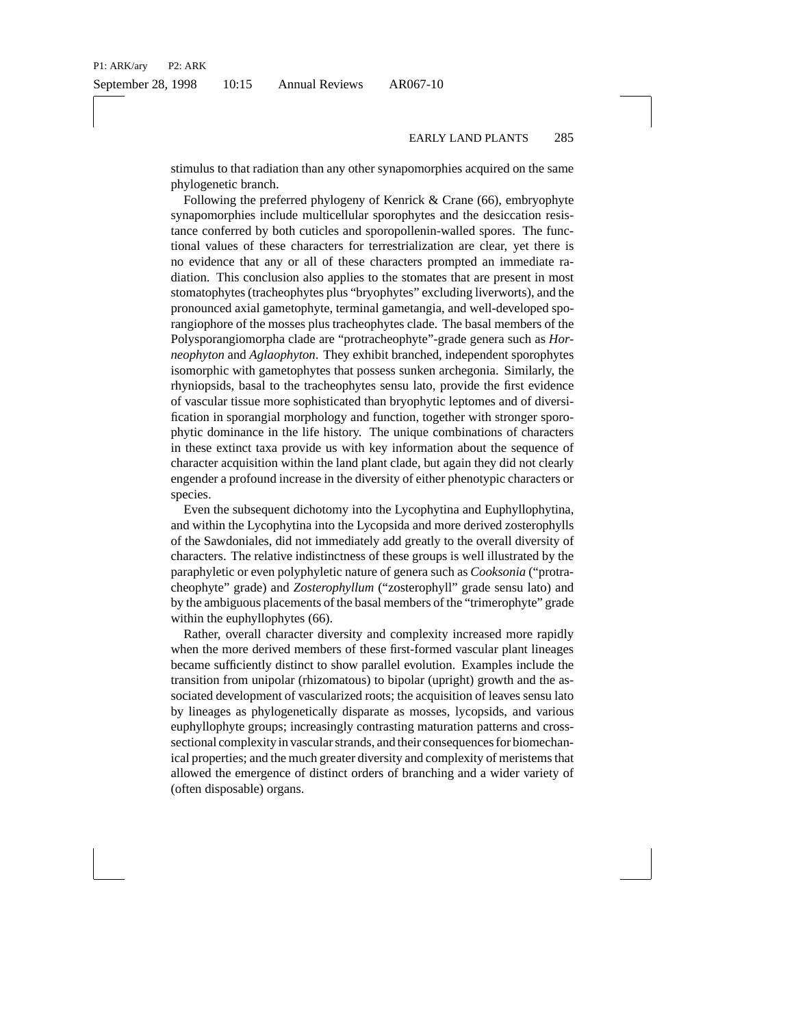stimulus to that radiation than any other synapomorphies acquired on the same phylogenetic branch.

Following the preferred phylogeny of Kenrick & Crane (66), embryophyte synapomorphies include multicellular sporophytes and the desiccation resistance conferred by both cuticles and sporopollenin-walled spores. The functional values of these characters for terrestrialization are clear, yet there is no evidence that any or all of these characters prompted an immediate radiation. This conclusion also applies to the stomates that are present in most stomatophytes (tracheophytes plus "bryophytes" excluding liverworts), and the pronounced axial gametophyte, terminal gametangia, and well-developed sporangiophore of the mosses plus tracheophytes clade. The basal members of the Polysporangiomorpha clade are "protracheophyte"-grade genera such as *Horneophyton* and *Aglaophyton*. They exhibit branched, independent sporophytes isomorphic with gametophytes that possess sunken archegonia. Similarly, the rhyniopsids, basal to the tracheophytes sensu lato, provide the first evidence of vascular tissue more sophisticated than bryophytic leptomes and of diversification in sporangial morphology and function, together with stronger sporophytic dominance in the life history. The unique combinations of characters in these extinct taxa provide us with key information about the sequence of character acquisition within the land plant clade, but again they did not clearly engender a profound increase in the diversity of either phenotypic characters or species.

Even the subsequent dichotomy into the Lycophytina and Euphyllophytina, and within the Lycophytina into the Lycopsida and more derived zosterophylls of the Sawdoniales, did not immediately add greatly to the overall diversity of characters. The relative indistinctness of these groups is well illustrated by the paraphyletic or even polyphyletic nature of genera such as *Cooksonia* ("protracheophyte" grade) and *Zosterophyllum* ("zosterophyll" grade sensu lato) and by the ambiguous placements of the basal members of the "trimerophyte" grade within the euphyllophytes (66).

Rather, overall character diversity and complexity increased more rapidly when the more derived members of these first-formed vascular plant lineages became sufficiently distinct to show parallel evolution. Examples include the transition from unipolar (rhizomatous) to bipolar (upright) growth and the associated development of vascularized roots; the acquisition of leaves sensu lato by lineages as phylogenetically disparate as mosses, lycopsids, and various euphyllophyte groups; increasingly contrasting maturation patterns and crosssectional complexity in vascular strands, and their consequences for biomechanical properties; and the much greater diversity and complexity of meristems that allowed the emergence of distinct orders of branching and a wider variety of (often disposable) organs.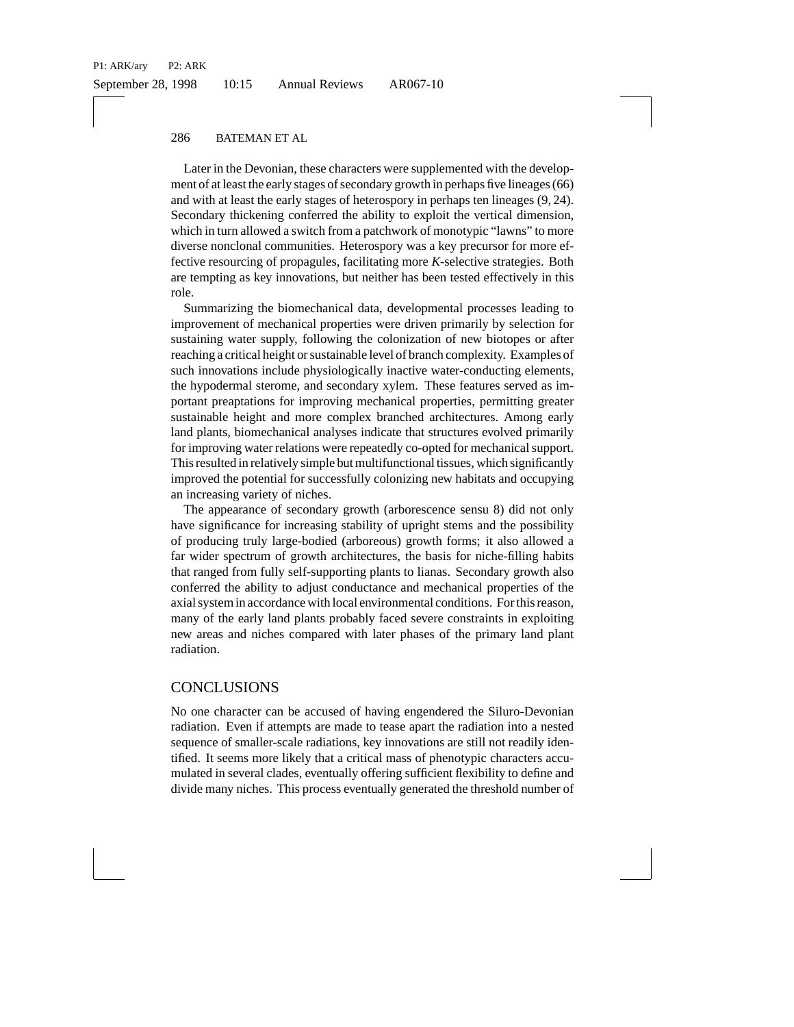Later in the Devonian, these characters were supplemented with the development of at least the early stages of secondary growth in perhaps five lineages (66) and with at least the early stages of heterospory in perhaps ten lineages (9, 24). Secondary thickening conferred the ability to exploit the vertical dimension, which in turn allowed a switch from a patchwork of monotypic "lawns" to more diverse nonclonal communities. Heterospory was a key precursor for more effective resourcing of propagules, facilitating more *K*-selective strategies. Both are tempting as key innovations, but neither has been tested effectively in this role.

Summarizing the biomechanical data, developmental processes leading to improvement of mechanical properties were driven primarily by selection for sustaining water supply, following the colonization of new biotopes or after reaching a critical height or sustainable level of branch complexity. Examples of such innovations include physiologically inactive water-conducting elements, the hypodermal sterome, and secondary xylem. These features served as important preaptations for improving mechanical properties, permitting greater sustainable height and more complex branched architectures. Among early land plants, biomechanical analyses indicate that structures evolved primarily for improving water relations were repeatedly co-opted for mechanical support. This resulted in relatively simple but multifunctional tissues, which significantly improved the potential for successfully colonizing new habitats and occupying an increasing variety of niches.

The appearance of secondary growth (arborescence sensu 8) did not only have significance for increasing stability of upright stems and the possibility of producing truly large-bodied (arboreous) growth forms; it also allowed a far wider spectrum of growth architectures, the basis for niche-filling habits that ranged from fully self-supporting plants to lianas. Secondary growth also conferred the ability to adjust conductance and mechanical properties of the axial system in accordance with local environmental conditions. For this reason, many of the early land plants probably faced severe constraints in exploiting new areas and niches compared with later phases of the primary land plant radiation.

# **CONCLUSIONS**

No one character can be accused of having engendered the Siluro-Devonian radiation. Even if attempts are made to tease apart the radiation into a nested sequence of smaller-scale radiations, key innovations are still not readily identified. It seems more likely that a critical mass of phenotypic characters accumulated in several clades, eventually offering sufficient flexibility to define and divide many niches. This process eventually generated the threshold number of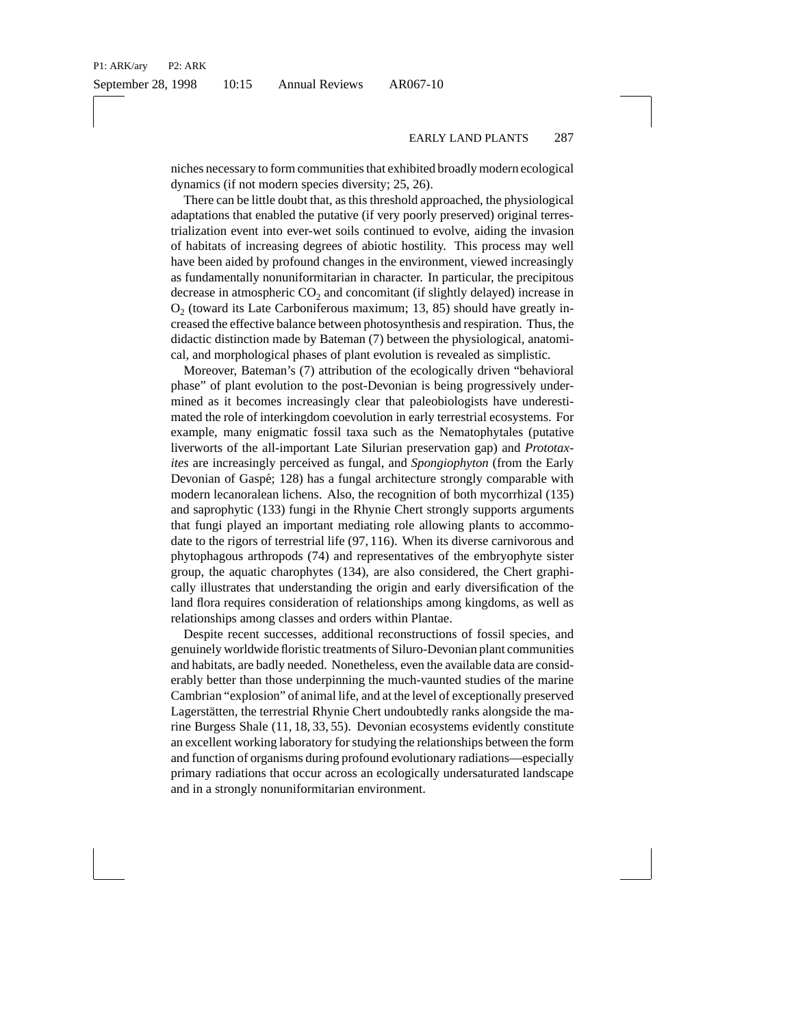niches necessary to form communities that exhibited broadly modern ecological dynamics (if not modern species diversity; 25, 26).

There can be little doubt that, as this threshold approached, the physiological adaptations that enabled the putative (if very poorly preserved) original terrestrialization event into ever-wet soils continued to evolve, aiding the invasion of habitats of increasing degrees of abiotic hostility. This process may well have been aided by profound changes in the environment, viewed increasingly as fundamentally nonuniformitarian in character. In particular, the precipitous decrease in atmospheric  $CO<sub>2</sub>$  and concomitant (if slightly delayed) increase in  $O<sub>2</sub>$  (toward its Late Carboniferous maximum; 13, 85) should have greatly increased the effective balance between photosynthesis and respiration. Thus, the didactic distinction made by Bateman (7) between the physiological, anatomical, and morphological phases of plant evolution is revealed as simplistic.

Moreover, Bateman's (7) attribution of the ecologically driven "behavioral phase" of plant evolution to the post-Devonian is being progressively undermined as it becomes increasingly clear that paleobiologists have underestimated the role of interkingdom coevolution in early terrestrial ecosystems. For example, many enigmatic fossil taxa such as the Nematophytales (putative liverworts of the all-important Late Silurian preservation gap) and *Prototaxites* are increasingly perceived as fungal, and *Spongiophyton* (from the Early Devonian of Gaspé; 128) has a fungal architecture strongly comparable with modern lecanoralean lichens. Also, the recognition of both mycorrhizal (135) and saprophytic (133) fungi in the Rhynie Chert strongly supports arguments that fungi played an important mediating role allowing plants to accommodate to the rigors of terrestrial life (97, 116). When its diverse carnivorous and phytophagous arthropods (74) and representatives of the embryophyte sister group, the aquatic charophytes (134), are also considered, the Chert graphically illustrates that understanding the origin and early diversification of the land flora requires consideration of relationships among kingdoms, as well as relationships among classes and orders within Plantae.

Despite recent successes, additional reconstructions of fossil species, and genuinely worldwide floristic treatments of Siluro-Devonian plant communities and habitats, are badly needed. Nonetheless, even the available data are considerably better than those underpinning the much-vaunted studies of the marine Cambrian "explosion" of animal life, and at the level of exceptionally preserved Lagerstätten, the terrestrial Rhynie Chert undoubtedly ranks alongside the marine Burgess Shale (11, 18, 33, 55). Devonian ecosystems evidently constitute an excellent working laboratory for studying the relationships between the form and function of organisms during profound evolutionary radiations—especially primary radiations that occur across an ecologically undersaturated landscape and in a strongly nonuniformitarian environment.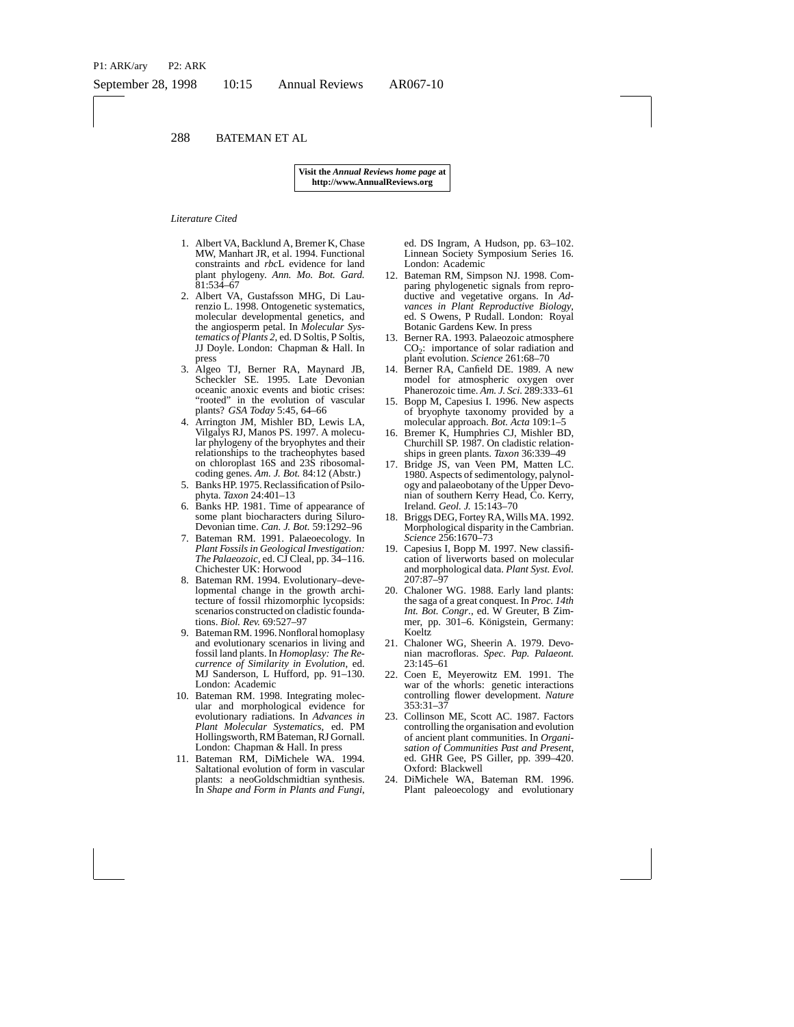#### *Literature Cited*

- 1. Albert VA, Backlund A, Bremer K, Chase MW, Manhart JR, et al. 1994. Functional constraints and *rbc*L evidence for land plant phylogeny. *Ann. Mo. Bot. Gard.* 81:534–67
- 2. Albert VA, Gustafsson MHG, Di Laurenzio L. 1998. Ontogenetic systematics, molecular developmental genetics, and the angiosperm petal. In *Molecular Systematics of Plants 2*, ed. D Soltis, P Soltis, JJ Doyle. London: Chapman & Hall. In press
- 3. Algeo TJ, Berner RA, Maynard JB, Scheckler SE. 1995. Late Devonian oceanic anoxic events and biotic crises: "rooted" in the evolution of vascular plants? *GSA Today* 5:45, 64–66
- 4. Arrington JM, Mishler BD, Lewis LA, Vilgalys RJ, Manos PS. 1997. A molecular phylogeny of the bryophytes and their relationships to the tracheophytes based on chloroplast 16S and 23S ribosomalcoding genes. *Am. J. Bot.* 84:12 (Abstr.)
- 5. Banks HP. 1975. Reclassification of Psilophyta. *Taxon* 24:401–13
- 6. Banks HP. 1981. Time of appearance of some plant biocharacters during Siluro-Devonian time. *Can. J. Bot.* 59:1292–96
- 7. Bateman RM. 1991. Palaeoecology. In *Plant Fossils in Geological Investigation: The Palaeozoic*, ed. CJ Cleal, pp. 34–116. Chichester UK: Horwood
- 8. Bateman RM. 1994. Evolutionary–developmental change in the growth architecture of fossil rhizomorphic lycopsids: scenarios constructed on cladistic foundations. *Biol. Rev.* 69:527–97
- 9. Bateman RM. 1996. Nonfloral homoplasy and evolutionary scenarios in living and fossil land plants. In *Homoplasy: The Recurrence of Similarity in Evolution*, ed. MJ Sanderson, L Hufford, pp. 91–130. London: Academic
- 10. Bateman RM. 1998. Integrating molecular and morphological evidence for evolutionary radiations. In *Advances in Plant Molecular Systematics*, ed. PM Hollingsworth, RM Bateman, RJ Gornall. London: Chapman & Hall. In press
- 11. Bateman RM, DiMichele WA. 1994. Saltational evolution of form in vascular plants: a neoGoldschmidtian synthesis. In *Shape and Form in Plants and Fungi*,

ed. DS Ingram, A Hudson, pp. 63–102. Linnean Society Symposium Series 16. London: Academic

- 12. Bateman RM, Simpson NJ. 1998. Comparing phylogenetic signals from reproductive and vegetative organs. In *Advances in Plant Reproductive Biology*, ed. S Owens, P Rudall. London: Royal Botanic Gardens Kew. In press
- 13. Berner RA. 1993. Palaeozoic atmosphere  $CO<sub>2</sub>$ : importance of solar radiation and plant evolution. *Science* 261:68–70
- 14. Berner RA, Canfield DE. 1989. A new model for atmospheric oxygen over Phanerozoic time. *Am. J. Sci.* 289:333–61
- 15. Bopp M, Capesius I. 1996. New aspects of bryophyte taxonomy provided by a molecular approach. *Bot. Acta* 109:1–5
- 16. Bremer K, Humphries CJ, Mishler BD, Churchill SP. 1987. On cladistic relationships in green plants. *Taxon* 36:339–49
- 17. Bridge JS, van Veen PM, Matten LC. 1980. Aspects of sedimentology, palynology and palaeobotany of the Upper Devonian of southern Kerry Head, Co. Kerry, Ireland. *Geol. J.* 15:143–70
- 18. Briggs DEG, Fortey RA, Wills MA. 1992. Morphological disparity in the Cambrian. *Science* 256:1670–73
- 19. Capesius I, Bopp M. 1997. New classification of liverworts based on molecular and morphological data. *Plant Syst. Evol.* 207:87–97
- 20. Chaloner WG. 1988. Early land plants: the saga of a great conquest. In *Proc. 14th Int. Bot. Congr*., ed. W Greuter, B Zimmer, pp. 301–6. Königstein, Germany: Koeltz
- 21. Chaloner WG, Sheerin A. 1979. Devonian macrofloras. *Spec. Pap. Palaeont.* 23:145–61
- 22. Coen E, Meyerowitz EM. 1991. The war of the whorls: genetic interactions controlling flower development. *Nature* 353:31–37
- 23. Collinson ME, Scott AC. 1987. Factors controlling the organisation and evolution of ancient plant communities. In *Organisation of Communities Past and Present*, ed. GHR Gee, PS Giller, pp. 399–420. Oxford: Blackwell
- 24. DiMichele WA, Bateman RM. 1996. Plant paleoecology and evolutionary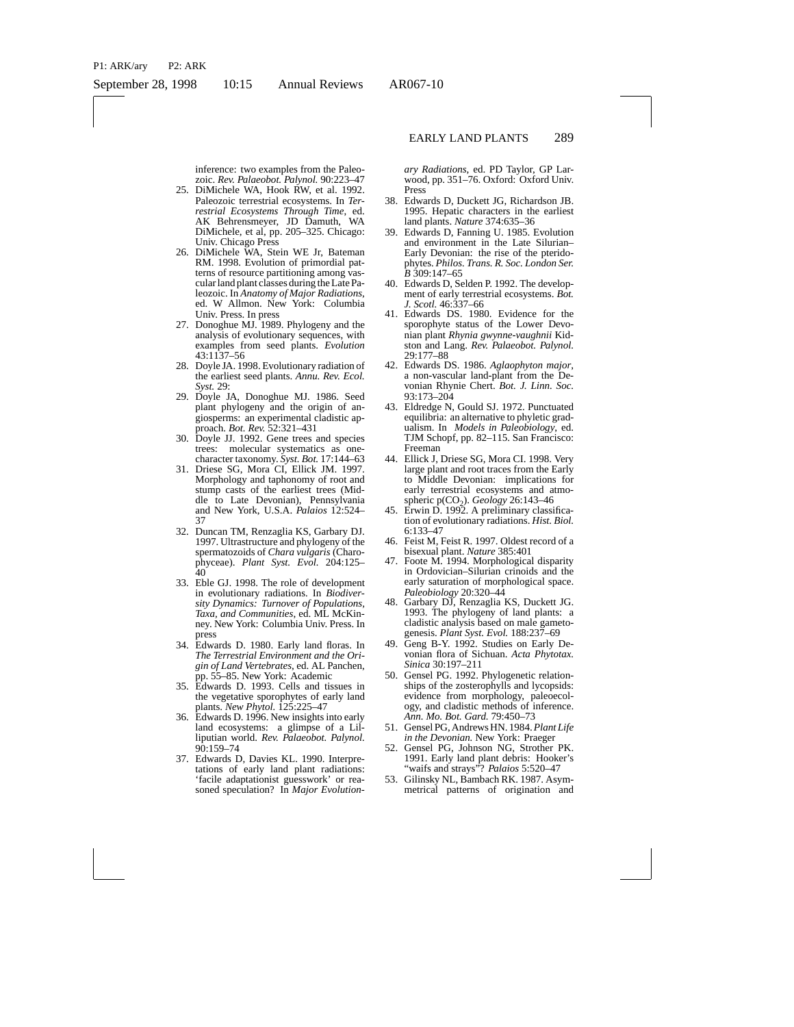inference: two examples from the Paleozoic. *Rev. Palaeobot. Palynol.* 90:223–47

- 25. DiMichele WA, Hook RW, et al. 1992. Paleozoic terrestrial ecosystems. In *Terrestrial Ecosystems Through Time*, ed. AK Behrensmeyer, JD Damuth, WA DiMichele, et al, pp. 205–325. Chicago: Univ. Chicago Press
- 26. DiMichele WA, Stein WE Jr, Bateman RM. 1998. Evolution of primordial patterns of resource partitioning among vascular land plant classes during the Late Paleozoic. In *Anatomy of Major Radiations*, ed. W Allmon. New York: Columbia Univ. Press. In press
- 27. Donoghue MJ. 1989. Phylogeny and the analysis of evolutionary sequences, with examples from seed plants. *Evolution* 43:1137–56
- 28. Doyle JA. 1998. Evolutionary radiation of the earliest seed plants. *Annu. Rev. Ecol. Syst.* 29:
- 29. Doyle JA, Donoghue MJ. 1986. Seed plant phylogeny and the origin of angiosperms: an experimental cladistic approach. *Bot. Rev.* 52:321–431
- 30. Doyle JJ. 1992. Gene trees and species trees: molecular systematics as onecharacter taxonomy. *Syst. Bot.* 17:144–63
- 31. Driese SG, Mora CI, Ellick JM. 1997. Morphology and taphonomy of root and stump casts of the earliest trees (Middle to Late Devonian), Pennsylvania and New York, U.S.A. *Palaios* 12:524– 37
- 32. Duncan TM, Renzaglia KS, Garbary DJ. 1997. Ultrastructure and phylogeny of the spermatozoids of *Chara vulgaris* (Charophyceae). *Plant Syst. Evol.* 204:125– 40
- 33. Eble GJ. 1998. The role of development in evolutionary radiations. In *Biodiversity Dynamics: Turnover of Populations, Taxa, and Communities*, ed. ML McKinney. New York: Columbia Univ. Press. In press
- 34. Edwards D. 1980. Early land floras. In *The Terrestrial Environment and the Origin of Land Vertebrates*, ed. AL Panchen, pp. 55–85. New York: Academic
- 35. Edwards D. 1993. Cells and tissues in the vegetative sporophytes of early land plants. *New Phytol.* 125:225–47
- 36. Edwards D. 1996. New insights into early land ecosystems: a glimpse of a Lilliputian world. *Rev. Palaeobot. Palynol.* 90:159–74
- 37. Edwards D, Davies KL. 1990. Interpretations of early land plant radiations: 'facile adaptationist guesswork' or reasoned speculation? In *Major Evolution-*

*ary Radiations*, ed. PD Taylor, GP Larwood, pp. 351–76. Oxford: Oxford Univ. Press

- 38. Edwards D, Duckett JG, Richardson JB. 1995. Hepatic characters in the earliest land plants. *Nature* 374:635–36
- 39. Edwards D, Fanning U. 1985. Evolution and environment in the Late Silurian– Early Devonian: the rise of the pteridophytes. *Philos. Trans. R. Soc. London Ser. B* 309:147–65
- 40. Edwards D, Selden P. 1992. The development of early terrestrial ecosystems. *Bot. J. Scotl.* 46:337–66
- 41. Edwards DS. 1980. Evidence for the sporophyte status of the Lower Devonian plant *Rhynia gwynne-vaughnii* Kidston and Lang. *Rev. Palaeobot. Palynol.* 29:177–88
- 42. Edwards DS. 1986. *Aglaophyton major*, a non-vascular land-plant from the Devonian Rhynie Chert. *Bot. J. Linn. Soc.* 93:173–204
- 43. Eldredge N, Gould SJ. 1972. Punctuated equilibria: an alternative to phyletic gradualism. In *Models in Paleobiology*, ed. TJM Schopf, pp. 82–115. San Francisco: Freeman
- 44. Ellick J, Driese SG, Mora CI. 1998. Very large plant and root traces from the Early to Middle Devonian: implications for early terrestrial ecosystems and atmospheric p(CO<sub>2</sub>). *Geology* 26:143-46
- 45. Erwin D. 1992. A preliminary classification of evolutionary radiations. *Hist. Biol.* 6:133–47
- 46. Feist M, Feist R. 1997. Oldest record of a bisexual plant. *Nature* 385:401
- 47. Foote M. 1994. Morphological disparity in Ordovician–Silurian crinoids and the early saturation of morphological space. *Paleobiology* 20:320–44
- 48. Garbary DJ, Renzaglia KS, Duckett JG. 1993. The phylogeny of land plants: a cladistic analysis based on male gametogenesis. *Plant Syst. Evol.* 188:237–69
- 49. Geng B-Y. 1992. Studies on Early Devonian flora of Sichuan. *Acta Phytotax. Sinica* 30:197–211
- 50. Gensel PG. 1992. Phylogenetic relationships of the zosterophylls and lycopsids: evidence from morphology, paleoecology, and cladistic methods of inference. *Ann. Mo. Bot. Gard.* 79:450–73
- 51. Gensel PG, Andrews HN. 1984.*Plant Life in the Devonian.* New York: Praeger
- 52. Gensel PG, Johnson NG, Strother PK. 1991. Early land plant debris: Hooker's "waifs and strays"? *Palaios* 5:520–47
- 53. Gilinsky NL, Bambach RK. 1987. Asymmetrical patterns of origination and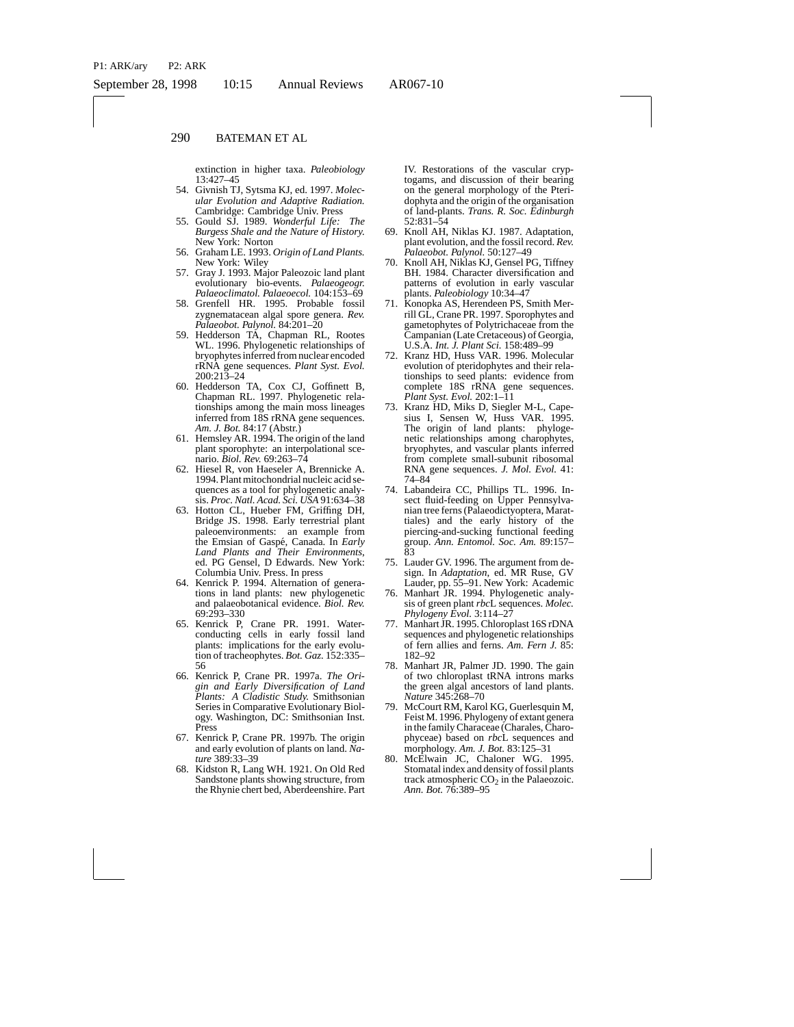extinction in higher taxa. *Paleobiology* 13:427–45

- 54. Givnish TJ, Sytsma KJ, ed. 1997. *Molecular Evolution and Adaptive Radiation.* Cambridge: Cambridge Univ. Press
- 55. Gould SJ. 1989. *Wonderful Life: The Burgess Shale and the Nature of History.* New York: Norton
- 56. Graham LE. 1993. *Origin of Land Plants.* New York: Wiley
- 57. Gray J. 1993. Major Paleozoic land plant evolutionary bio-events. *Palaeogeogr. Palaeoclimatol. Palaeoecol.* 104:153–69
- 58. Grenfell HR. 1995. Probable fossil zygnematacean algal spore genera. *Rev. Palaeobot. Palynol.* 84:201–20
- 59. Hedderson TA, Chapman RL, Rootes WL. 1996. Phylogenetic relationships of bryophytes inferred from nuclear encoded rRNA gene sequences. *Plant Syst. Evol.* 200:213–24
- 60. Hedderson TA, Cox CJ, Goffinett B, Chapman RL. 1997. Phylogenetic relationships among the main moss lineages inferred from 18S rRNA gene sequences. *Am. J. Bot.* 84:17 (Abstr.)
- 61. Hemsley AR. 1994. The origin of the land plant sporophyte: an interpolational scenario. *Biol. Rev.* 69:263–74
- 62. Hiesel R, von Haeseler A, Brennicke A. 1994. Plant mitochondrial nucleic acid sequences as a tool for phylogenetic analysis. *Proc. Natl. Acad. Sci. USA* 91:634–38
- 63. Hotton CL, Hueber FM, Griffing DH, Bridge JS. 1998. Early terrestrial plant paleoenvironments: an example from the Emsian of Gasp´e, Canada. In *Early Land Plants and Their Environments*, ed. PG Gensel, D Edwards. New York: Columbia Univ. Press. In press
- 64. Kenrick P. 1994. Alternation of generations in land plants: new phylogenetic and palaeobotanical evidence. *Biol. Rev.* 69:293–330
- 65. Kenrick P, Crane PR. 1991. Waterconducting cells in early fossil land plants: implications for the early evolution of tracheophytes. *Bot. Gaz.* 152:335– 56
- 66. Kenrick P, Crane PR. 1997a. *The Origin and Early Diversification of Land Plants: A Cladistic Study.* Smithsonian Series in Comparative Evolutionary Biology. Washington, DC: Smithsonian Inst. Press
- 67. Kenrick P, Crane PR. 1997b. The origin and early evolution of plants on land. *Nature* 389:33–39
- 68. Kidston R, Lang WH. 1921. On Old Red Sandstone plants showing structure, from the Rhynie chert bed, Aberdeenshire. Part

IV. Restorations of the vascular cryptogams, and discussion of their bearing on the general morphology of the Pteridophyta and the origin of the organisation of land-plants. *Trans. R. Soc. Edinburgh* 52:831–54

- 69. Knoll AH, Niklas KJ. 1987. Adaptation, plant evolution, and the fossil record. *Rev. Palaeobot. Palynol.* 50:127–49
- 70. Knoll AH, Niklas KJ, Gensel PG, Tiffney BH. 1984. Character diversification and patterns of evolution in early vascular plants. *Paleobiology* 10:34–47
- 71. Konopka AS, Herendeen PS, Smith Merrill GL, Crane PR. 1997. Sporophytes and gametophytes of Polytrichaceae from the Campanian (Late Cretaceous) of Georgia, U.S.A. *Int. J. Plant Sci.* 158:489–99
- 72. Kranz HD, Huss VAR. 1996. Molecular evolution of pteridophytes and their relationships to seed plants: evidence from complete 18S rRNA gene sequences. *Plant Syst. Evol.* 202:1–11
- 73. Kranz HD, Miks D, Siegler M-L, Capesius I, Sensen W, Huss VAR. 1995. The origin of land plants: phylogenetic relationships among charophytes, bryophytes, and vascular plants inferred from complete small-subunit ribosomal RNA gene sequences. *J. Mol. Evol.* 41: 74–84
- 74. Labandeira CC, Phillips TL. 1996. Insect fluid-feeding on Upper Pennsylvanian tree ferns (Palaeodictyoptera, Marattiales) and the early history of the piercing-and-sucking functional feeding group. *Ann. Entomol. Soc. Am.* 89:157– 83
- 75. Lauder GV. 1996. The argument from design. In *Adaptation*, ed. MR Ruse, GV Lauder, pp. 55–91. New York: Academic
- 76. Manhart JR. 1994. Phylogenetic analysis of green plant *rbc*L sequences. *Molec. Phylogeny Evol.* 3:114–27
- 77. Manhart JR. 1995. Chloroplast 16S rDNA sequences and phylogenetic relationships of fern allies and ferns. *Am. Fern J.* 85: 182–92
- 78. Manhart JR, Palmer JD. 1990. The gain of two chloroplast tRNA introns marks the green algal ancestors of land plants. *Nature* 345:268–70
- 79. McCourt RM, Karol KG, Guerlesquin M, Feist M. 1996. Phylogeny of extant genera in the family Characeae (Charales, Charophyceae) based on *rbc*L sequences and morphology. *Am. J. Bot.* 83:125–31
- 80. McElwain JC, Chaloner WG. 1995. Stomatal index and density of fossil plants track atmospheric  $CO<sub>2</sub>$  in the Palaeozoic. *Ann. Bot.* 76:389–95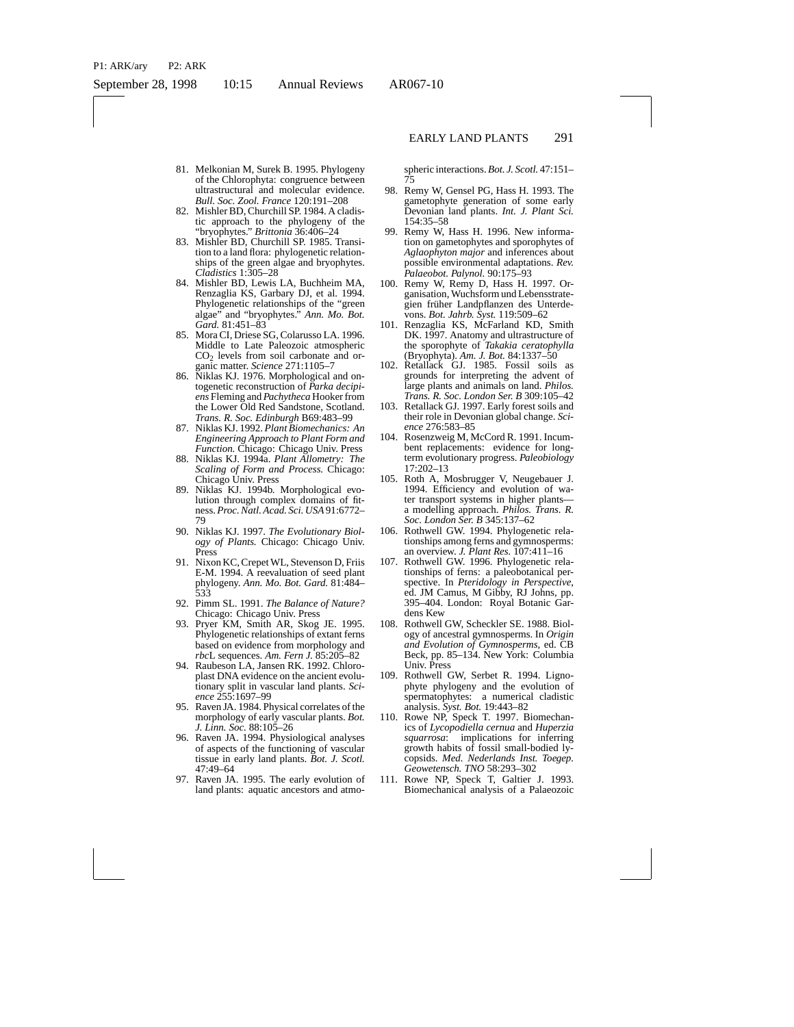- 81. Melkonian M, Surek B. 1995. Phylogeny of the Chlorophyta: congruence between ultrastructural and molecular evidence. *Bull. Soc. Zool. France* 120:191–208
- 82. Mishler BD, Churchill SP. 1984. A cladistic approach to the phylogeny of the
- "bryophytes." *Brittonia* 36:406–24 83. Mishler BD, Churchill SP. 1985. Transition to a land flora: phylogenetic relationships of the green algae and bryophytes. *Cladistics* 1:305–28
- 84. Mishler BD, Lewis LA, Buchheim MA, Renzaglia KS, Garbary DJ, et al. 1994. Phylogenetic relationships of the "green algae" and "bryophytes." *Ann. Mo. Bot. Gard.* 81:451–83
- 85. Mora CI, Driese SG, Colarusso LA. 1996. Middle to Late Paleozoic atmospheric  $CO<sub>2</sub>$  levels from soil carbonate and organic matter. *Science* 271:1105–7
- 86. Niklas KJ. 1976. Morphological and ontogenetic reconstruction of *Parka decipiens* Fleming and *Pachytheca* Hooker from the Lower Old Red Sandstone, Scotland. *Trans. R. Soc. Edinburgh* B69:483–99
- 87. Niklas KJ. 1992. *Plant Biomechanics: An Engineering Approach to Plant Form and Function.* Chicago: Chicago Univ. Press
- 88. Niklas KJ. 1994a. *Plant Allometry: The Scaling of Form and Process.* Chicago: Chicago Univ. Press
- 89. Niklas KJ. 1994b. Morphological evolution through complex domains of fitness. *Proc. Natl. Acad. Sci. USA*91:6772– 79
- 90. Niklas KJ. 1997. *The Evolutionary Biology of Plants.* Chicago: Chicago Univ. Press
- 91. Nixon KC, Crepet WL, Stevenson D, Friis E-M. 1994. A reevaluation of seed plant phylogeny. *Ann. Mo. Bot. Gard.* 81:484– 533
- 92. Pimm SL. 1991. *The Balance of Nature?* Chicago: Chicago Univ. Press
- 93. Pryer KM, Smith AR, Skog JE. 1995. Phylogenetic relationships of extant ferns based on evidence from morphology and *rbc*L sequences. *Am. Fern J.* 85:205–82
- 94. Raubeson LA, Jansen RK. 1992. Chloroplast DNA evidence on the ancient evolutionary split in vascular land plants. *Science* 255:1697–99
- 95. Raven JA. 1984. Physical correlates of the morphology of early vascular plants. *Bot. J. Linn. Soc.* 88:105–26
- 96. Raven JA. 1994. Physiological analyses of aspects of the functioning of vascular tissue in early land plants. *Bot. J. Scotl.* 47:49–64
- 97. Raven JA. 1995. The early evolution of land plants: aquatic ancestors and atmo-

spheric interactions.*Bot. J. Scotl.* 47:151– 75

- 98. Remy W, Gensel PG, Hass H. 1993. The gametophyte generation of some early Devonian land plants. *Int. J. Plant Sci.* 154:35–58
- 99. Remy W, Hass H. 1996. New information on gametophytes and sporophytes of *Aglaophyton major* and inferences about possible environmental adaptations. *Rev. Palaeobot. Palynol.* 90:175–93
- 100. Remy W, Remy D, Hass H. 1997. Organisation, Wuchsform und Lebensstrategien früher Landpflanzen des Unterdevons. *Bot. Jahrb. Syst.* 119:509–62
- 101. Renzaglia KS, McFarland KD, Smith DK. 1997. Anatomy and ultrastructure of the sporophyte of *Takakia ceratophylla* (Bryophyta). *Am. J. Bot.* 84:1337–50
- 102. Retallack GJ. 1985. Fossil soils as grounds for interpreting the advent of large plants and animals on land. *Philos. Trans. R. Soc. London Ser. B* 309:105–42
- 103. Retallack GJ. 1997. Early forest soils and their role in Devonian global change. *Science* 276:583–85
- 104. Rosenzweig M, McCord R. 1991. Incumbent replacements: evidence for longterm evolutionary progress. *Paleobiology* 17:202–13
- 105. Roth A, Mosbrugger V, Neugebauer J. 1994. Efficiency and evolution of water transport systems in higher plants a modelling approach. *Philos. Trans. R. Soc. London Ser. B* 345:137–62
- 106. Rothwell GW. 1994. Phylogenetic relationships among ferns and gymnosperms: an overview. *J. Plant Res.* 107:411–16
- 107. Rothwell GW. 1996. Phylogenetic relationships of ferns: a paleobotanical perspective. In *Pteridology in Perspective*, ed. JM Camus, M Gibby, RJ Johns, pp. 395–404. London: Royal Botanic Gardens Kew
- 108. Rothwell GW, Scheckler SE. 1988. Biology of ancestral gymnosperms. In *Origin and Evolution of Gymnosperms*, ed. CB Beck, pp. 85–134. New York: Columbia Univ. Press
- 109. Rothwell GW, Serbet R. 1994. Lignophyte phylogeny and the evolution of spermatophytes: a numerical cladistic analysis. *Syst. Bot.* 19:443–82
- 110. Rowe NP, Speck T. 1997. Biomechanics of *Lycopodiella cernua* and *Huperzia squarrosa*: implications for inferring growth habits of fossil small-bodied lycopsids. *Med. Nederlands Inst. Toegep. Geowetensch. TNO* 58:293–302
- 111. Rowe NP, Speck T, Galtier J. 1993. Biomechanical analysis of a Palaeozoic